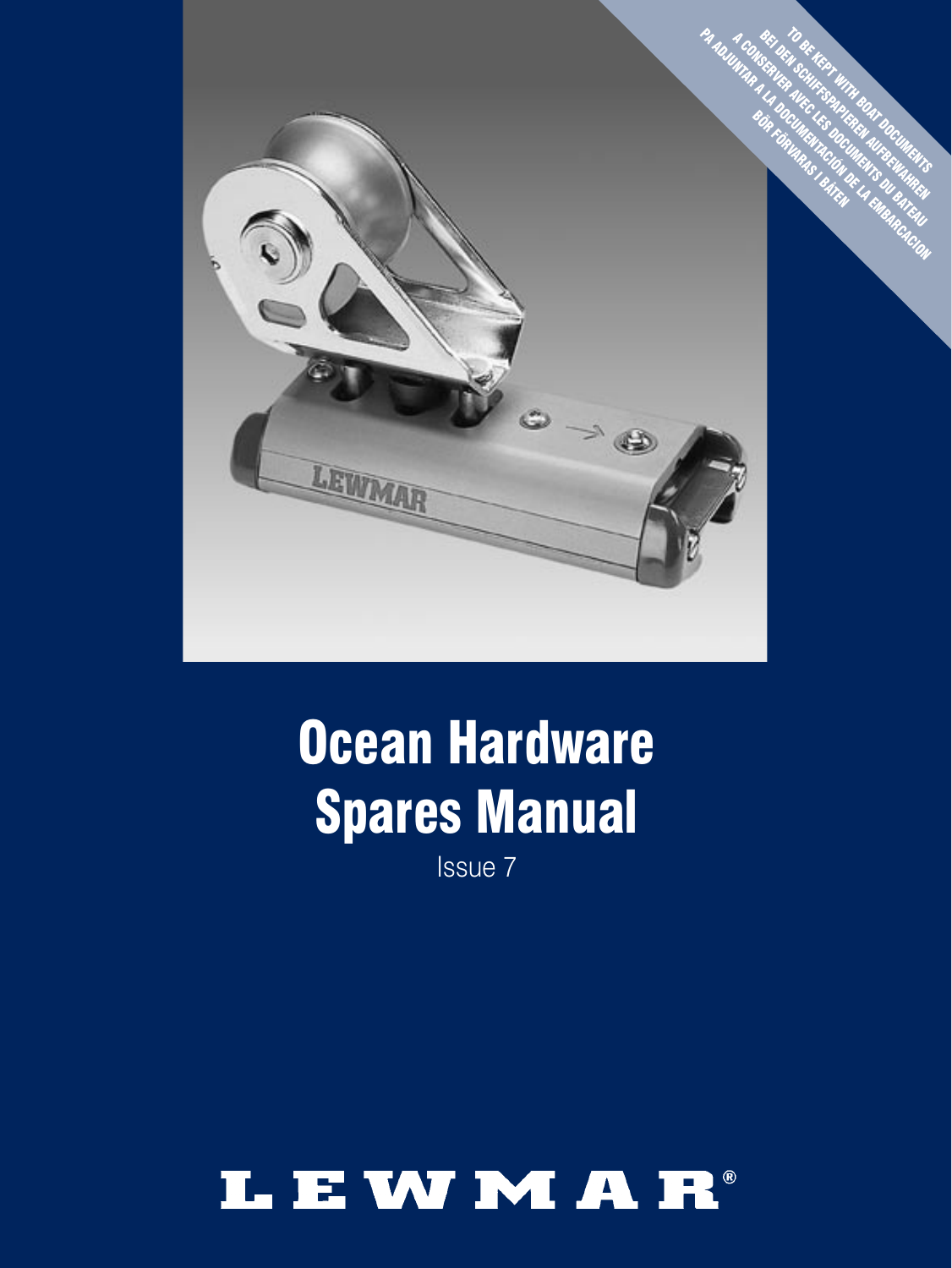

# Ocean Hardware Spares Manual

Issue<sub>7</sub>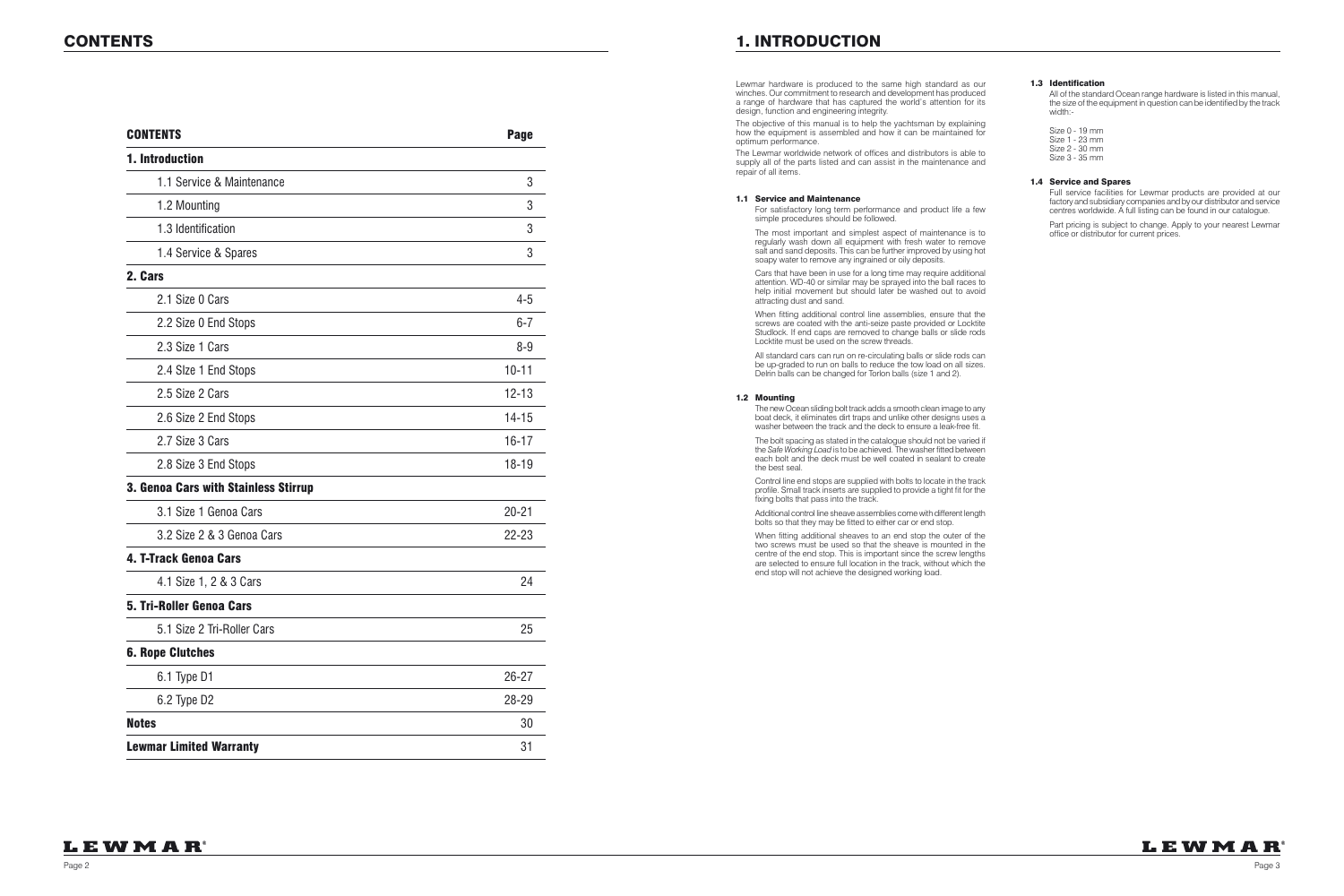### CONTENTS 1. INTRODUCTION

| <b>CONTENTS</b>                      | <b>Page</b> |
|--------------------------------------|-------------|
| 1. Introduction                      |             |
| 1.1 Service & Maintenance            | 3           |
| 1.2 Mounting                         | 3           |
| 1.3 Identification                   | 3           |
| 1.4 Service & Spares                 | 3           |
| 2. Cars                              |             |
| 2.1 Size 0 Cars                      | $4 - 5$     |
| 2.2 Size 0 End Stops                 | $6 - 7$     |
| 2.3 Size 1 Cars                      | $8 - 9$     |
| 2.4 Slze 1 End Stops                 | $10 - 11$   |
| 2.5 Size 2 Cars                      | $12 - 13$   |
| 2.6 Size 2 End Stops                 | $14 - 15$   |
| 2.7 Size 3 Cars                      | $16 - 17$   |
| 2.8 Size 3 End Stops                 | $18 - 19$   |
| 3. Genoa Cars with Stainless Stirrup |             |
| 3.1 Size 1 Genoa Cars                | $20 - 21$   |
| 3.2 Size 2 & 3 Genoa Cars            | $22 - 23$   |
| 4. T-Track Genoa Cars                |             |
| 4.1 Size 1, 2 & 3 Cars               | 24          |
| <b>5. Tri-Roller Genoa Cars</b>      |             |
| 5.1 Size 2 Tri-Roller Cars           | 25          |
| <b>6. Rope Clutches</b>              |             |
| 6.1 Type D1                          | 26-27       |
| 6.2 Type D2                          | 28-29       |
| <b>Notes</b>                         | 30          |
| <b>Lewmar Limited Warranty</b>       | 31          |

 For satisfactory long term performance and product life a few simple procedures should be followed.

 The most important and simplest aspect of maintenance is to regularly wash down all equipment with fresh water to remove salt and sand deposits. This can be further improved by using hot soapy water to remove any ingrained or oily deposits.

Lewmar hardware is produced to the same high standard as our winches. Our commitment to research and development has produced a range of hardware that has captured the world's attention for its design, function and engineering integrity.

The objective of this manual is to help the yachtsman by explaining how the equipment is assembled and how it can be maintained for optimum performance.

The Lewmar worldwide network of offices and distributors is able to supply all of the parts listed and can assist in the maintenance and repair of all items.

#### 1.1 Service and Maintenance

 Cars that have been in use for a long time may require additional attention. WD-40 or similar may be sprayed into the ball races to help initial movement but should later be washed out to avoid attracting dust and sand.

 When fitting additional control line assemblies, ensure that the screws are coated with the anti-seize paste provided or Locktite Studlock. If end caps are removed to change balls or slide rods Locktite must be used on the screw threads.

 All standard cars can run on re-circulating balls or slide rods can be up-graded to run on balls to reduce the tow load on all sizes. Delrin balls can be changed for Torlon balls (size 1 and 2).

#### 1.2 Mounting

 The new Ocean sliding bolt track adds a smooth clean image to any boat deck, it eliminates dirt traps and unlike other designs uses a washer between the track and the deck to ensure a leak-free fit.

 The bolt spacing as stated in the catalogue should not be varied if the *Safe Working Load* is to be achieved. The washer fitted between each bolt and the deck must be well coated in sealant to create the best seal.

 Control line end stops are supplied with bolts to locate in the track profile. Small track inserts are supplied to provide a tight fit for the fixing bolts that pass into the track.

 Additional control line sheave assemblies come with different length bolts so that they may be fitted to either car or end stop.

 When fitting additional sheaves to an end stop the outer of the two screws must be used so that the sheave is mounted in the centre of the end stop. This is important since the screw lengths are selected to ensure full location in the track, without which the end stop will not achieve the designed working load.

#### 1.3 Identification

 All of the standard Ocean range hardware is listed in this manual, the size of the equipment in question can be identified by the track width:-

 Size 0 - 19 mm Size 1 - 23 mm Size 2 - 30 mm Size 3 - 35 mm

#### 1.4 Service and Spares

 Full service facilities for Lewmar products are provided at our factory and subsidiary companies and by our distributor and service centres worldwide. A full listing can be found in our catalogue.

 Part pricing is subject to change. Apply to your nearest Lewmar office or distributor for current prices.

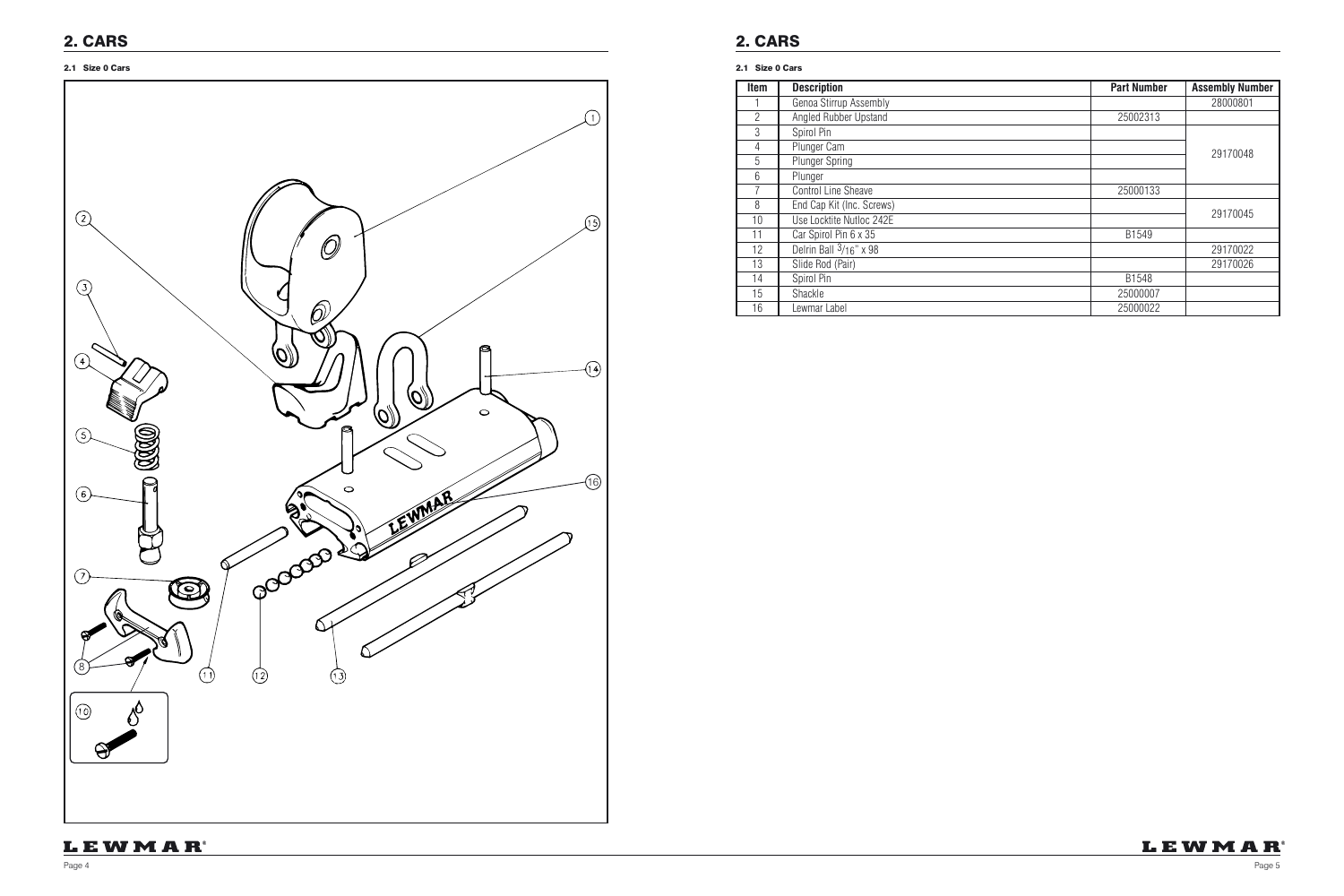| <b>Item</b>    | <b>Description</b>         | <b>Part Number</b> | <b>Assembly Number</b> |
|----------------|----------------------------|--------------------|------------------------|
|                | Genoa Stirrup Assembly     |                    | 28000801               |
| $\overline{2}$ | Angled Rubber Upstand      | 25002313           |                        |
| 3              | Spirol Pin                 |                    |                        |
| 4              | Plunger Cam                |                    | 29170048               |
| 5              | <b>Plunger Spring</b>      |                    |                        |
| 6              | Plunger                    |                    |                        |
| $\overline{7}$ | <b>Control Line Sheave</b> | 25000133           |                        |
| 8              | End Cap Kit (Inc. Screws)  |                    |                        |
| 10             | Use Locktite Nutloc 242E   |                    | 29170045               |
| 11             | Car Spirol Pin 6 x 35      | B1549              |                        |
| 12             | Delrin Ball $3/16$ " x 98  |                    | 29170022               |
| 13             | Slide Rod (Pair)           |                    | 29170026               |
| 14             | Spirol Pin                 | B1548              |                        |
| 15             | Shackle                    | 25000007           |                        |
| 16             | Lewmar Label               | 25000022           |                        |



#### 2.1 Size 0 Cars 2.1 Size 0 Cars

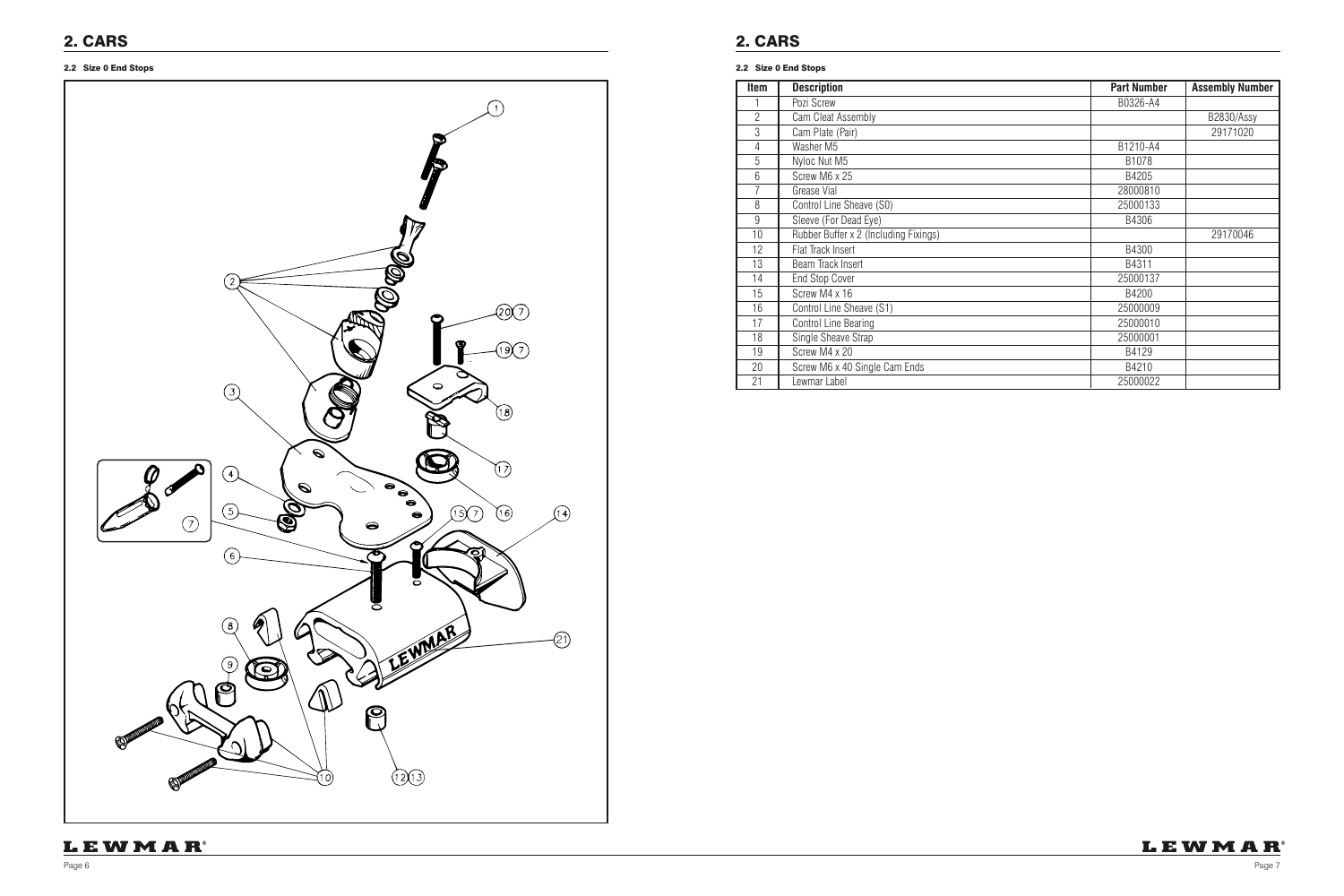### 2.2 Size 0 End Stops 2.2 Size 0 End Stops

| <b>Item</b>    | <b>Description</b>                    | <b>Part Number</b> | <b>Assembly Number</b> |
|----------------|---------------------------------------|--------------------|------------------------|
|                | Pozi Screw                            | B0326-A4           |                        |
| $\overline{2}$ | Cam Cleat Assembly                    |                    | B2830/Assy             |
| 3              | Cam Plate (Pair)                      |                    | 29171020               |
| 4              | Washer M5                             | B1210-A4           |                        |
| 5              | Nyloc Nut M5                          | B1078              |                        |
| 6              | Screw M6 x 25                         | B4205              |                        |
| 7              | Grease Vial                           | 28000810           |                        |
| 8              | Control Line Sheave (S0)              | 25000133           |                        |
| $\overline{9}$ | Sleeve (For Dead Eye)                 | B4306              |                        |
| 10             | Rubber Buffer x 2 (Including Fixings) |                    | 29170046               |
| 12             | Flat Track Insert                     | B4300              |                        |
| 13             | Beam Track Insert                     | B4311              |                        |
| 14             | <b>End Stop Cover</b>                 | 25000137           |                        |
| 15             | Screw M4 x 16                         | B4200              |                        |
| 16             | Control Line Sheave (S1)              | 25000009           |                        |
| 17             | <b>Control Line Bearing</b>           | 25000010           |                        |
| 18             | Single Sheave Strap                   | 25000001           |                        |
| 19             | Screw M4 x 20                         | B4129              |                        |
| 20             | Screw M6 x 40 Single Cam Ends         | B4210              |                        |
| 21             | Lewmar Label                          | 25000022           |                        |



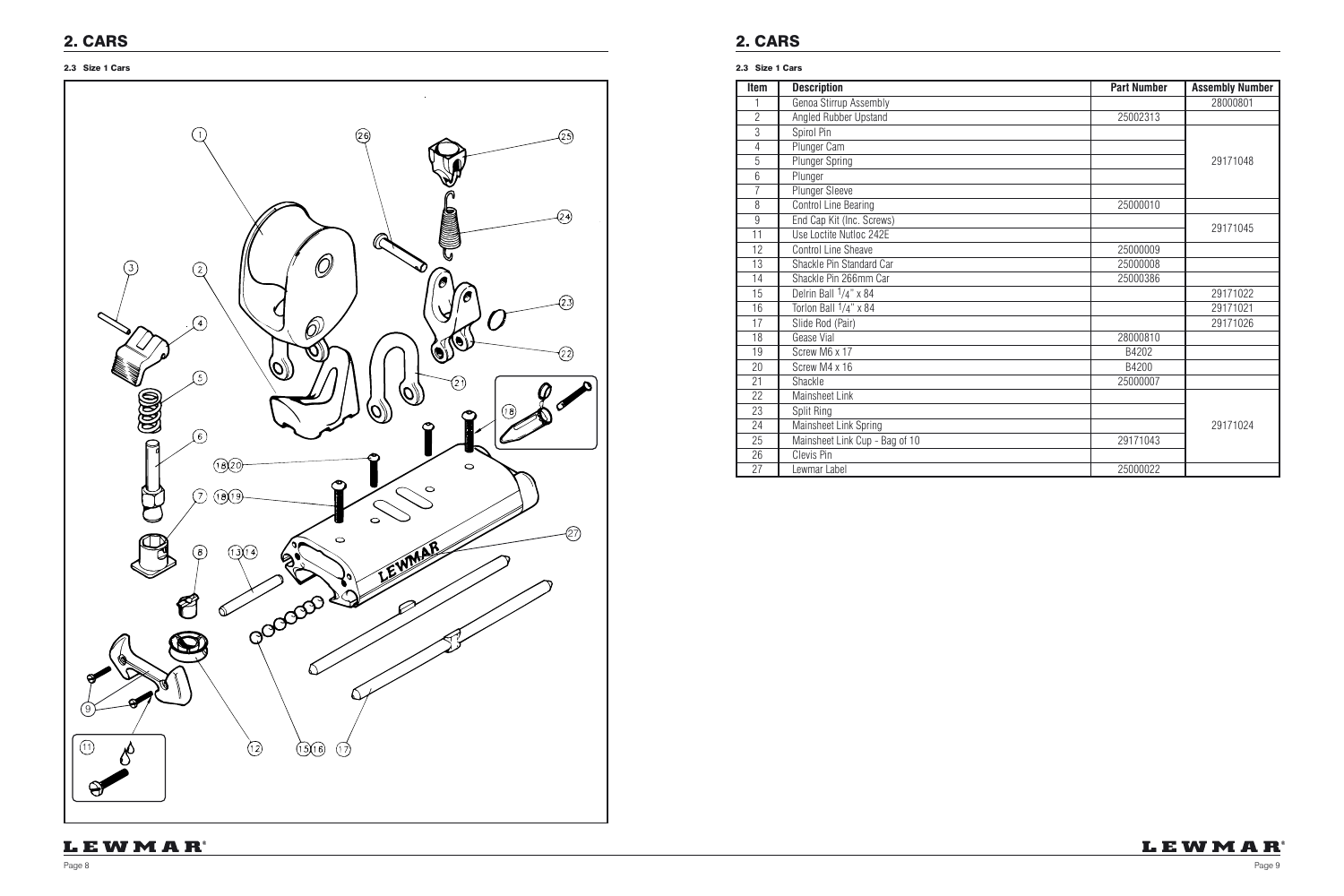

| Item           | <b>Description</b>             | <b>Part Number</b> | <b>Assembly Number</b> |
|----------------|--------------------------------|--------------------|------------------------|
|                | Genoa Stirrup Assembly         |                    | 28000801               |
| $\overline{2}$ | Angled Rubber Upstand          | 25002313           |                        |
| 3              | Spirol Pin                     |                    |                        |
| $\overline{4}$ | Plunger Cam                    |                    |                        |
| 5              | <b>Plunger Spring</b>          |                    | 29171048               |
| 6              | Plunger                        |                    |                        |
| $\overline{7}$ | Plunger Sleeve                 |                    |                        |
| 8              | <b>Control Line Bearing</b>    | 25000010           |                        |
| 9              | End Cap Kit (Inc. Screws)      |                    |                        |
| 11             | Use Loctite Nutloc 242E        |                    | 29171045               |
| 12             | <b>Control Line Sheave</b>     | 25000009           |                        |
| 13             | Shackle Pin Standard Car       | 25000008           |                        |
| 14             | Shackle Pin 266mm Car          | 25000386           |                        |
| 15             | Delrin Ball 1/4" x 84          |                    | 29171022               |
| 16             | Torlon Ball 1/4" x 84          |                    | 29171021               |
| 17             | Slide Rod (Pair)               |                    | 29171026               |
| 18             | Gease Vial                     | 28000810           |                        |
| 19             | Screw M6 x 17                  | B4202              |                        |
| 20             | Screw M4 x 16                  | B4200              |                        |
| 21             | Shackle                        | 25000007           |                        |
| 22             | Mainsheet Link                 |                    |                        |
| 23             | Split Ring                     |                    |                        |
| 24             | Mainsheet Link Spring          |                    | 29171024               |
| 25             | Mainsheet Link Cup - Bag of 10 | 29171043           |                        |
| 26             | Clevis Pin                     |                    |                        |
| 27             | Lewmar Label                   | 25000022           |                        |

## LEWMAR

#### 2.3 Size 1 Cars 2.3 Size 1 Cars

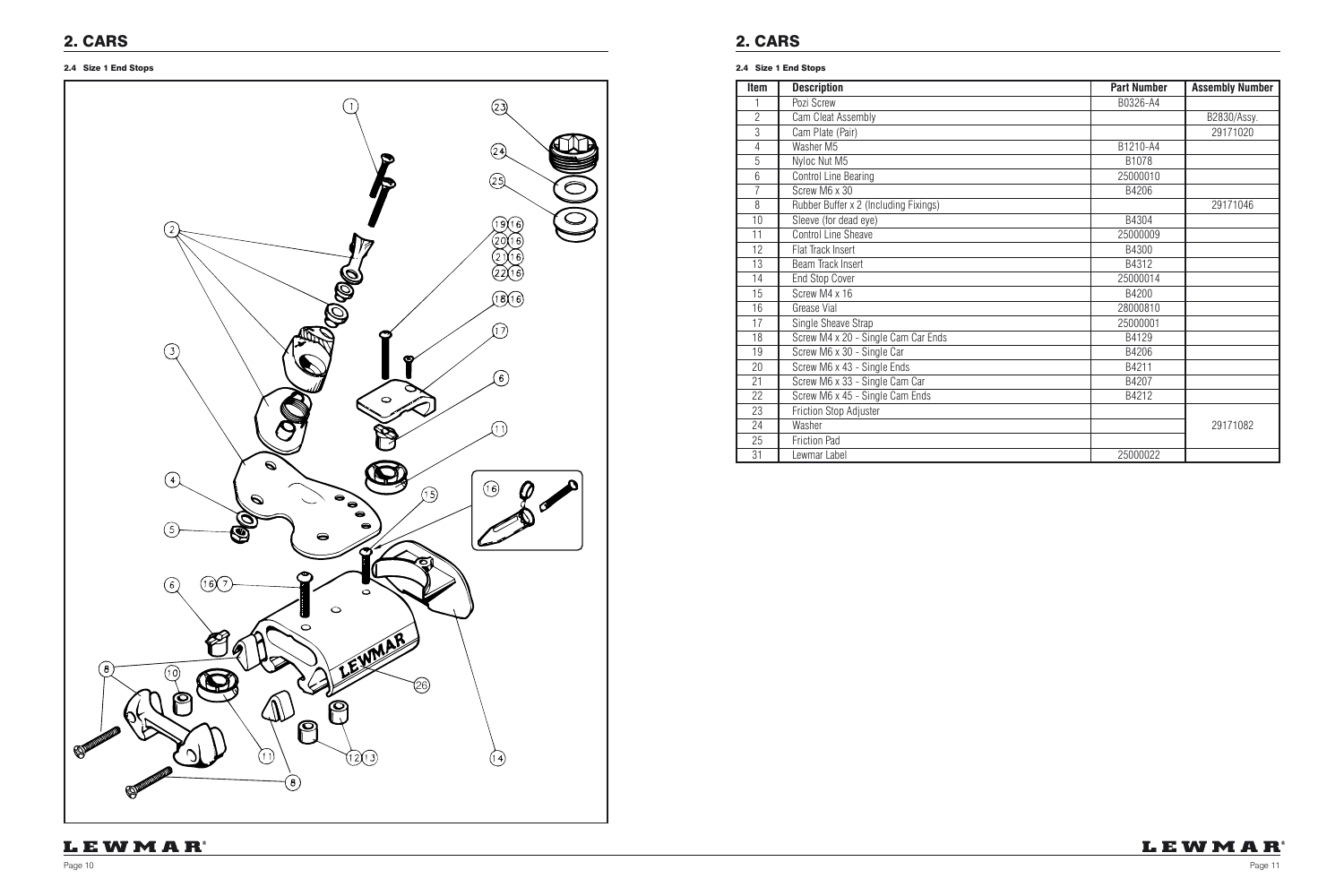### 2.4 Size 1 End Stops 2.4 Size 1 End Stops



| <b>Item</b> | <b>Description</b>                    | <b>Part Number</b> | <b>Assembly Number</b> |
|-------------|---------------------------------------|--------------------|------------------------|
| 1           | Pozi Screw                            | B0326-A4           |                        |
| 2           | Cam Cleat Assembly                    |                    | B2830/Assy.            |
| 3           | Cam Plate (Pair)                      |                    | 29171020               |
| 4           | Washer M5                             | B1210-A4           |                        |
| 5           | Nyloc Nut M5                          | B1078              |                        |
| 6           | <b>Control Line Bearing</b>           | 25000010           |                        |
| 7           | Screw M6 x 30                         | B4206              |                        |
| 8           | Rubber Buffer x 2 (Including Fixings) |                    | 29171046               |
| 10          | Sleeve (for dead eye)                 | B4304              |                        |
| 11          | Control Line Sheave                   | 25000009           |                        |
| 12          | Flat Track Insert                     | B4300              |                        |
| 13          | Beam Track Insert                     | B4312              |                        |
| 14          | <b>End Stop Cover</b>                 | 25000014           |                        |
| 15          | Screw M4 x 16                         | B4200              |                        |
| 16          | Grease Vial                           | 28000810           |                        |
| 17          | Single Sheave Strap                   | 25000001           |                        |
| 18          | Screw M4 x 20 - Single Cam Car Ends   | B4129              |                        |
| 19          | Screw M6 x 30 - Single Car            | B4206              |                        |
| 20          | Screw M6 x 43 - Single Ends           | B4211              |                        |
| 21          | Screw M6 x 33 - Single Cam Car        | B4207              |                        |
| 22          | Screw M6 x 45 - Single Cam Ends       | B4212              |                        |
| 23          | Friction Stop Adjuster                |                    |                        |
| 24          | Washer                                |                    | 29171082               |
| 25          | <b>Friction Pad</b>                   |                    |                        |
| 31          | Lewmar Label                          | 25000022           |                        |

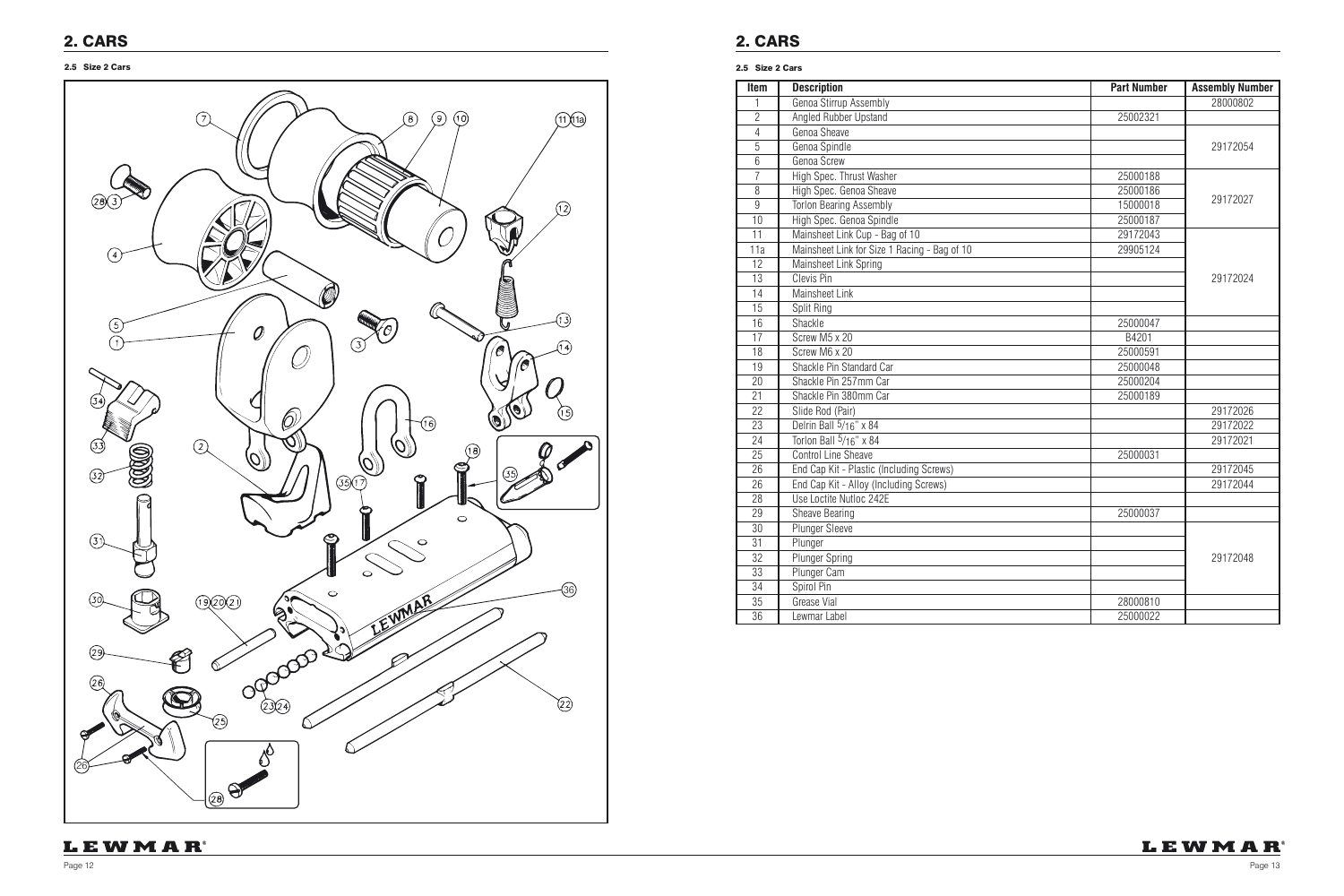| <b>Item</b>      | <b>Description</b>                           | <b>Part Number</b> | <b>Assembly Number</b> |
|------------------|----------------------------------------------|--------------------|------------------------|
| 1                | Genoa Stirrup Assembly                       |                    | 28000802               |
| $\overline{2}$   | Angled Rubber Upstand                        | 25002321           |                        |
| $\overline{4}$   | Genoa Sheave                                 |                    |                        |
| $\overline{5}$   | Genoa Spindle                                |                    | 29172054               |
| $\overline{6}$   | Genoa Screw                                  |                    |                        |
| $\overline{7}$   | High Spec. Thrust Washer                     | 25000188           |                        |
| 8                | High Spec. Genoa Sheave                      | 25000186           |                        |
| $\overline{9}$   | <b>Torlon Bearing Assembly</b>               | 15000018           | 29172027               |
| 10               | High Spec. Genoa Spindle                     | 25000187           |                        |
| 11               | Mainsheet Link Cup - Bag of 10               | 29172043           |                        |
| $\overline{11a}$ | Mainsheet Link for Size 1 Racing - Bag of 10 | 29905124           |                        |
| $\overline{12}$  | Mainsheet Link Spring                        |                    |                        |
| 13               | Clevis Pin                                   |                    | 29172024               |
| $\overline{14}$  | <b>Mainsheet Link</b>                        |                    |                        |
| $\overline{15}$  | Split Ring                                   |                    |                        |
| 16               | Shackle                                      | 25000047           |                        |
| $\overline{17}$  | Screw M5 x 20                                | B4201              |                        |
| 18               | Screw M6 x 20                                | 25000591           |                        |
| 19               | Shackle Pin Standard Car                     | 25000048           |                        |
| 20               | Shackle Pin 257mm Car                        | 25000204           |                        |
| 21               | Shackle Pin 380mm Car                        | 25000189           |                        |
| 22               | Slide Rod (Pair)                             |                    | 29172026               |
| $\overline{23}$  | Delrin Ball 5/16" x 84                       |                    | 29172022               |
| 24               | Torlon Ball 5/16" x 84                       |                    | 29172021               |
| 25               | <b>Control Line Sheave</b>                   | 25000031           |                        |
| $\overline{26}$  | End Cap Kit - Plastic (Including Screws)     |                    | 29172045               |
| $\overline{26}$  | End Cap Kit - Alloy (Including Screws)       |                    | 29172044               |
| $\overline{28}$  | Use Loctite Nutloc 242E                      |                    |                        |
| 29               | Sheave Bearing                               | 25000037           |                        |
| $\overline{30}$  | Plunger Sleeve                               |                    |                        |
| 31               | Plunger                                      |                    |                        |
| 32               | <b>Plunger Spring</b>                        |                    | 29172048               |
| 33               | Plunger Cam                                  |                    |                        |
| 34               | Spirol Pin                                   |                    |                        |
| 35               | <b>Grease Vial</b>                           | 28000810           |                        |
| $\overline{36}$  | Lewmar Label                                 | 25000022           |                        |



#### 2.5 Size 2 Cars 2.5 Size 2 Cars

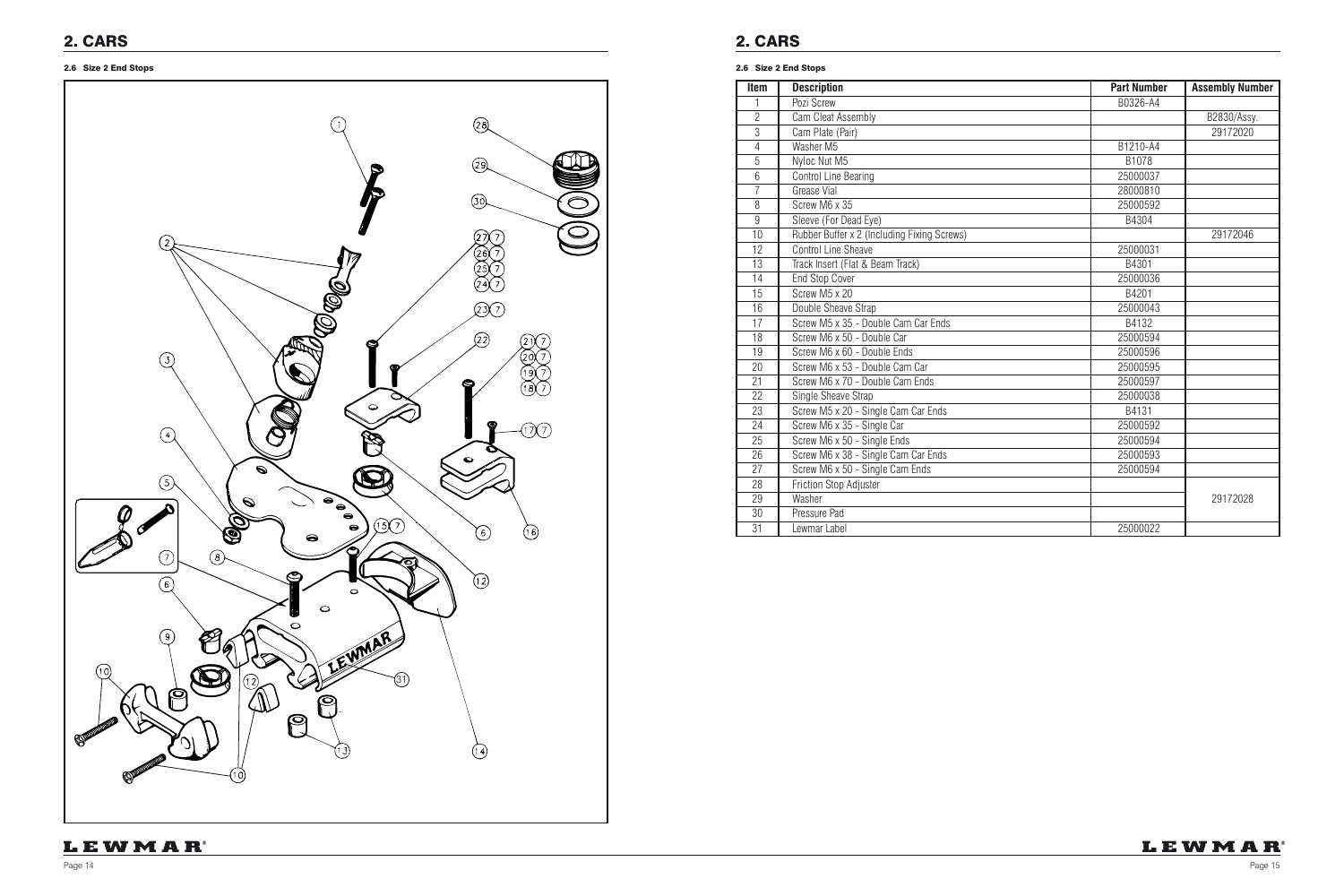

### 2.6 Size 2 End Stops 2.6 Size 2 End Stops

| Item           | <b>Description</b>                          | <b>Part Number</b> | <b>Assembly Number</b> |
|----------------|---------------------------------------------|--------------------|------------------------|
|                | Pozi Screw                                  | B0326-A4           |                        |
| $\overline{2}$ | Cam Cleat Assembly                          |                    | B2830/Assy.            |
| 3              | Cam Plate (Pair)                            |                    | 29172020               |
| $\overline{4}$ | Washer M5                                   | B1210-A4           |                        |
| 5              | Nyloc Nut M5                                | B1078              |                        |
| 6              | <b>Control Line Bearing</b>                 | 25000037           |                        |
| $\overline{7}$ | Grease Vial                                 | 28000810           |                        |
| 8              | Screw M6 x 35                               | 25000592           |                        |
| 9              | Sleeve (For Dead Eye)                       | B4304              |                        |
| 10             | Rubber Buffer x 2 (Including Fixing Screws) |                    | 29172046               |
| 12             | <b>Control Line Sheave</b>                  | 25000031           |                        |
| 13             | Track Insert (Flat & Beam Track)            | B4301              |                        |
| 14             | <b>End Stop Cover</b>                       | 25000036           |                        |
| 15             | Screw M5 x 20                               | B4201              |                        |
| 16             | Double Sheave Strap                         | 25000043           |                        |
| 17             | Screw M5 x 35 - Double Cam Car Ends         | B4132              |                        |
| 18             | Screw M6 x 50 - Double Car                  | 25000594           |                        |
| 19             | Screw M6 x 60 - Double Ends                 | 25000596           |                        |
| 20             | Screw M6 x 53 - Double Cam Car              | 25000595           |                        |
| 21             | Screw M6 x 70 - Double Cam Ends             | 25000597           |                        |
| 22             | Single Sheave Strap                         | 25000038           |                        |
| 23             | Screw M5 x 20 - Single Cam Car Ends         | B4131              |                        |
| 24             | Screw M6 x 35 - Single Car                  | 25000592           |                        |
| 25             | Screw M6 x 50 - Single Ends                 | 25000594           |                        |
| 26             | Screw M6 x 38 - Single Cam Car Ends         | 25000593           |                        |
| 27             | Screw M6 x 50 - Single Cam Ends             | 25000594           |                        |
| 28             | Friction Stop Adjuster                      |                    |                        |
| 29             | Washer                                      |                    | 29172028               |
| 30             | Pressure Pad                                |                    |                        |
| 31             | Lewmar Label                                | 25000022           |                        |

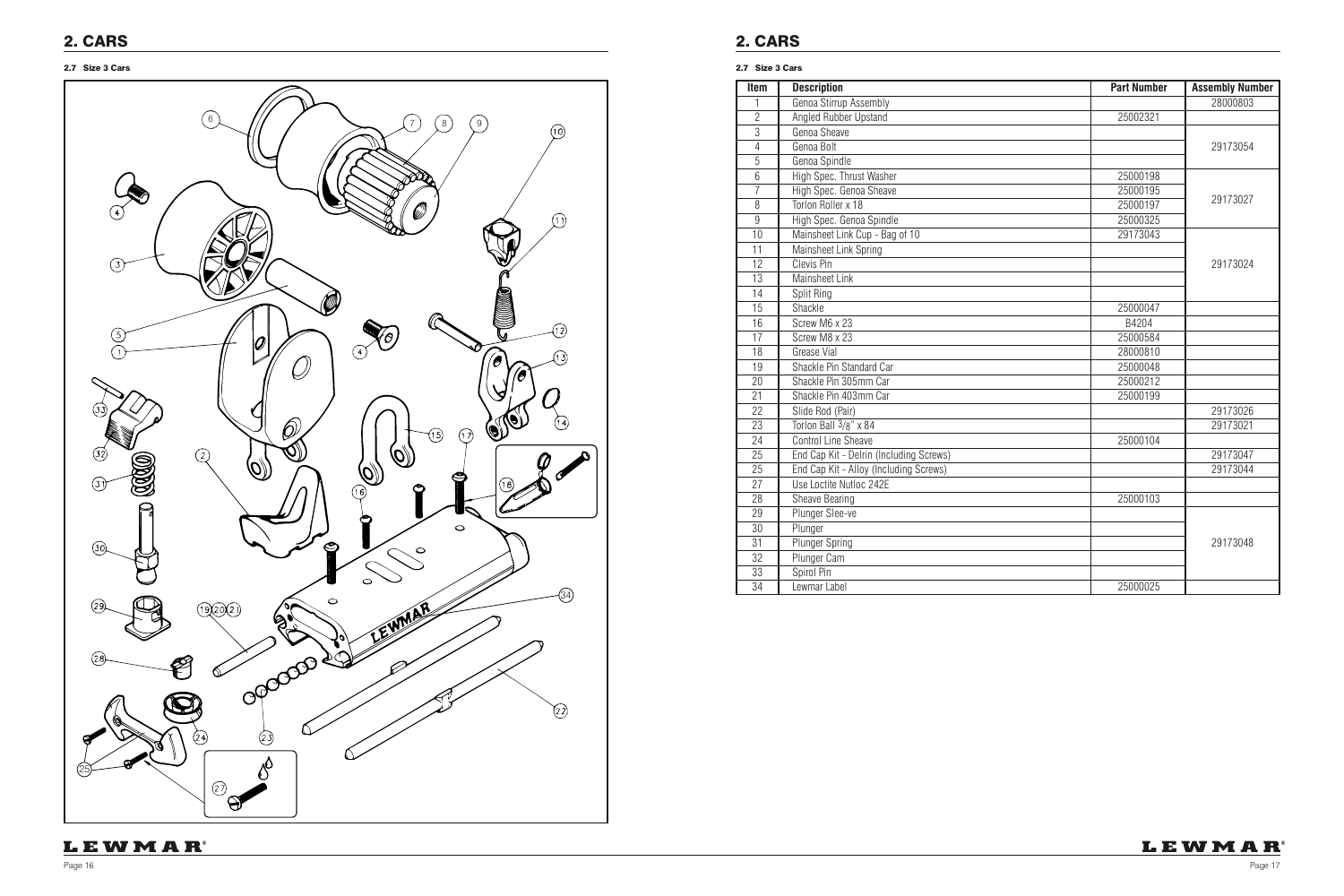| Item            | <b>Description</b>                      | <b>Part Number</b> | <b>Assembly Number</b> |
|-----------------|-----------------------------------------|--------------------|------------------------|
| 1               | Genoa Stirrup Assembly                  |                    | 28000803               |
| $\overline{2}$  | <b>Angled Rubber Upstand</b>            | 25002321           |                        |
| 3               | Genoa Sheave                            |                    |                        |
| 4               | Genoa Bolt                              |                    | 29173054               |
| 5               | Genoa Spindle                           |                    |                        |
| $6\phantom{.}6$ | High Spec. Thrust Washer                | 25000198           |                        |
| $\overline{7}$  | High Spec. Genoa Sheave                 | 25000195           |                        |
| 8               | Torlon Roller x 18                      | 25000197           | 29173027               |
| $\overline{9}$  | High Spec. Genoa Spindle                | 25000325           |                        |
| 10              | Mainsheet Link Cup - Bag of 10          | 29173043           |                        |
| 11              | Mainsheet Link Spring                   |                    |                        |
| 12              | Clevis Pin                              |                    | 29173024               |
| 13              | <b>Mainsheet Link</b>                   |                    |                        |
| 14              | Split Ring                              |                    |                        |
| 15              | Shackle                                 | 25000047           |                        |
| 16              | Screw M6 x 23                           | B4204              |                        |
| 17              | Screw M8 x 23                           | 25000584           |                        |
| 18              | <b>Grease Vial</b>                      | 28000810           |                        |
| 19              | Shackle Pin Standard Car                | 25000048           |                        |
| 20              | Shackle Pin 305mm Car                   | 25000212           |                        |
| $\overline{21}$ | Shackle Pin 403mm Car                   | 25000199           |                        |
| 22              | Slide Rod (Pair)                        |                    | 29173026               |
| 23              | Torlon Ball 3/8" x 84                   |                    | 29173021               |
| 24              | <b>Control Line Sheave</b>              | 25000104           |                        |
| 25              | End Cap Kit - Delrin (Including Screws) |                    | 29173047               |
| 25              | End Cap Kit - Alloy (Including Screws)  |                    | 29173044               |
| 27              | Use Loctite Nutloc 242E                 |                    |                        |
| 28              | <b>Sheave Bearing</b>                   | 25000103           |                        |
| 29              | Plunger Slee-ve                         |                    |                        |
| $\overline{30}$ | Plunger                                 |                    |                        |
| $\overline{31}$ | <b>Plunger Spring</b>                   |                    | 29173048               |
| 32              | Plunger Cam                             |                    |                        |
| $\overline{33}$ | Spirol Pin                              |                    |                        |
| $\overline{34}$ | Lewmar Label                            | 25000025           |                        |



#### 2.7 Size 3 Cars 2.7 Size 3 Cars

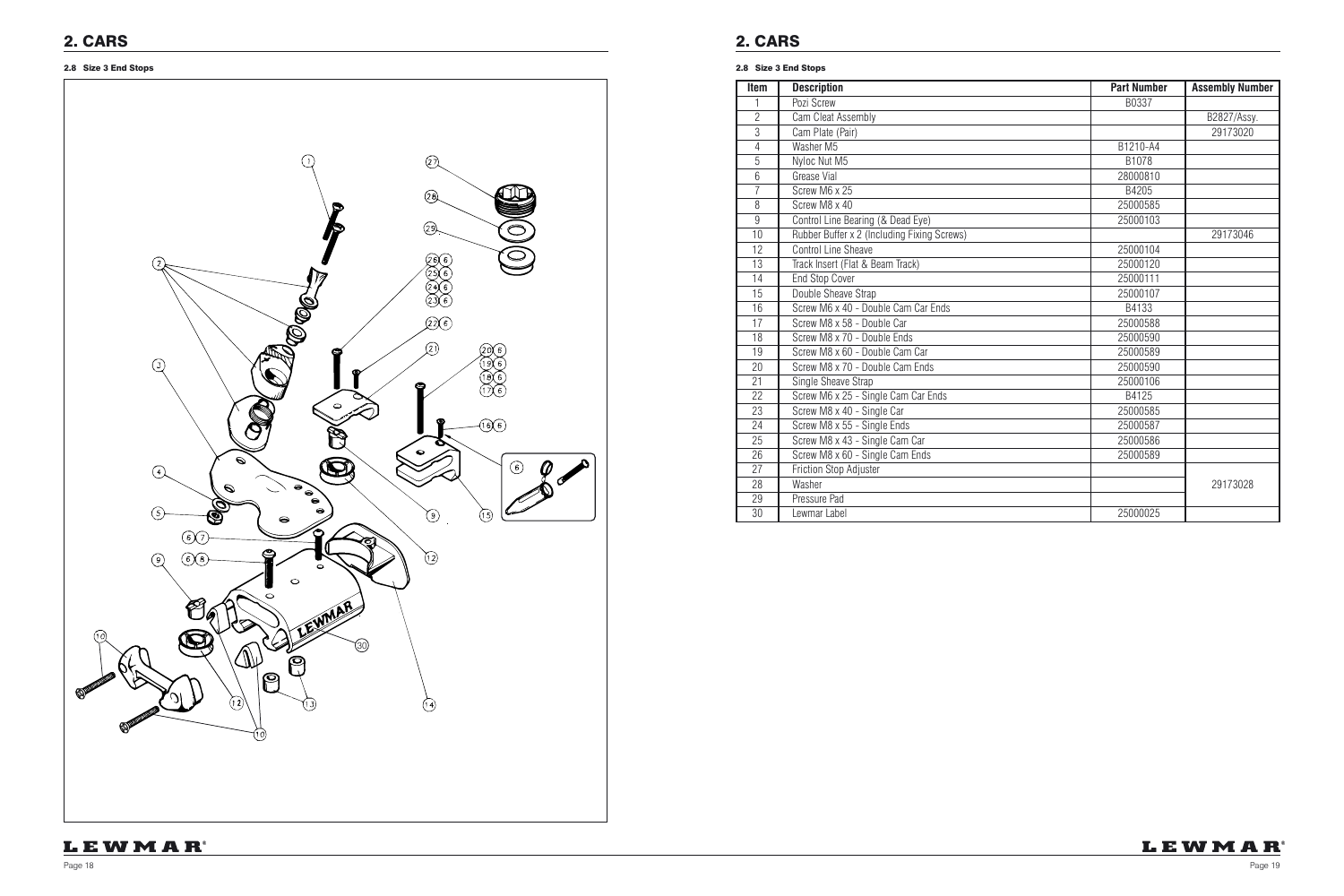

| <b>Item</b>    | <b>Description</b>                          | <b>Part Number</b> | <b>Assembly Number</b> |
|----------------|---------------------------------------------|--------------------|------------------------|
|                | Pozi Screw                                  | B0337              |                        |
| $\overline{2}$ | Cam Cleat Assembly                          |                    | B2827/Assy.            |
| 3              | Cam Plate (Pair)                            |                    | 29173020               |
| $\overline{4}$ | Washer M5                                   | B1210-A4           |                        |
| 5              | Nyloc Nut M5                                | B1078              |                        |
| 6              | Grease Vial                                 | 28000810           |                        |
| $\overline{7}$ | Screw M6 x 25                               | B4205              |                        |
| 8              | Screw M8 x 40                               | 25000585           |                        |
| 9              | Control Line Bearing (& Dead Eye)           | 25000103           |                        |
| 10             | Rubber Buffer x 2 (Including Fixing Screws) |                    | 29173046               |
| 12             | Control Line Sheave                         | 25000104           |                        |
| 13             | Track Insert (Flat & Beam Track)            | 25000120           |                        |
| 14             | <b>End Stop Cover</b>                       | 25000111           |                        |
| 15             | Double Sheave Strap                         | 25000107           |                        |
| 16             | Screw M6 x 40 - Double Cam Car Ends         | B4133              |                        |
| 17             | Screw M8 x 58 - Double Car                  | 25000588           |                        |
| 18             | Screw M8 x 70 - Double Ends                 | 25000590           |                        |
| 19             | Screw M8 x 60 - Double Cam Car              | 25000589           |                        |
| 20             | Screw M8 x 70 - Double Cam Ends             | 25000590           |                        |
| 21             | Single Sheave Strap                         | 25000106           |                        |
| 22             | Screw M6 x 25 - Single Cam Car Ends         | B4125              |                        |
| 23             | Screw M8 x 40 - Single Car                  | 25000585           |                        |
| 24             | Screw M8 x 55 - Single Ends                 | 25000587           |                        |
| 25             | Screw M8 x 43 - Single Cam Car              | 25000586           |                        |
| 26             | Screw M8 x 60 - Single Cam Ends             | 25000589           |                        |
| 27             | Friction Stop Adjuster                      |                    |                        |
| 28             | Washer                                      |                    | 29173028               |
| 29             | Pressure Pad                                |                    |                        |
| 30             | Lewmar Label                                | 25000025           |                        |

### LEWMAR®

### 2.8 Size 3 End Stops 2.8 Size 3 End Stops

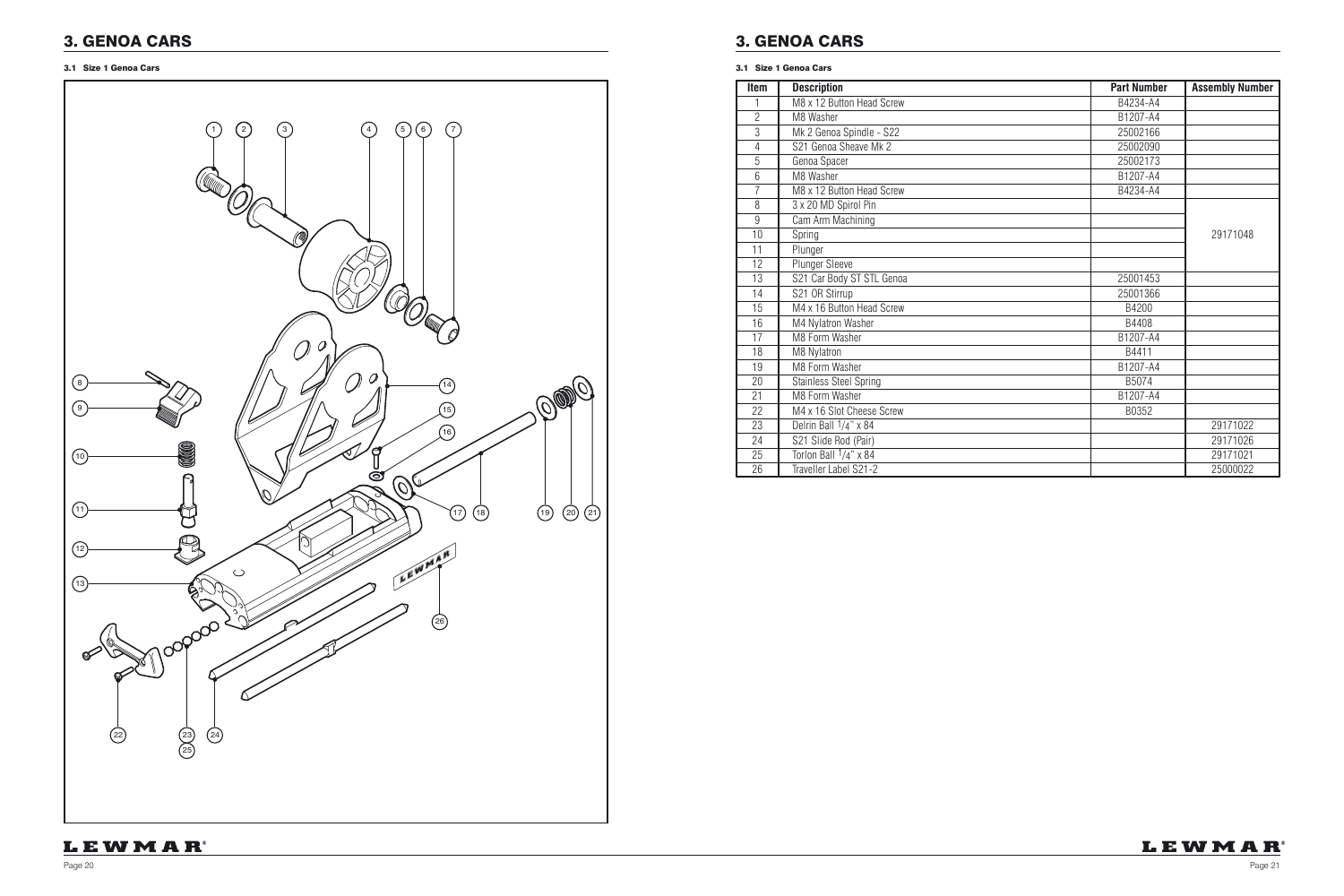

## 3. GENOA CARS

| Item           | <b>Description</b>            | <b>Part Number</b> | <b>Assembly Number</b> |
|----------------|-------------------------------|--------------------|------------------------|
|                | M8 x 12 Button Head Screw     | B4234-A4           |                        |
| $\overline{2}$ | M8 Washer                     | B1207-A4           |                        |
| 3              | Mk 2 Genoa Spindle - S22      | 25002166           |                        |
| $\overline{4}$ | S21 Genoa Sheave Mk 2         | 25002090           |                        |
| 5              | Genoa Spacer                  | 25002173           |                        |
| 6              | M8 Washer                     | B1207-A4           |                        |
| $\overline{7}$ | M8 x 12 Button Head Screw     | B4234-A4           |                        |
| 8              | 3 x 20 MD Spirol Pin          |                    |                        |
| $\overline{9}$ | Cam Arm Machining             |                    |                        |
| 10             | Spring                        |                    | 29171048               |
| 11             | Plunger                       |                    |                        |
| 12             | Plunger Sleeve                |                    |                        |
| 13             | S21 Car Body ST STL Genoa     | 25001453           |                        |
| 14             | S21 OR Stirrup                | 25001366           |                        |
| 15             | M4 x 16 Button Head Screw     | B4200              |                        |
| 16             | M4 Nylatron Washer            | B4408              |                        |
| 17             | M8 Form Washer                | B1207-A4           |                        |
| 18             | M8 Nylatron                   | B4411              |                        |
| 19             | M8 Form Washer                | B1207-A4           |                        |
| 20             | <b>Stainless Steel Spring</b> | B5074              |                        |
| 21             | M8 Form Washer                | B1207-A4           |                        |
| 22             | M4 x 16 Slot Cheese Screw     | B0352              |                        |
| 23             | Delrin Ball $1/4$ " x 84      |                    | 29171022               |
| 24             | S21 Slide Rod (Pair)          |                    | 29171026               |
| 25             | Torlon Ball $1/4$ " x 84      |                    | 29171021               |
| 26             | Traveller Label S21-2         |                    | 25000022               |

## LEWMAR®

3.1 Size 1 Genoa Cars

## 3. GENOA CARS

#### 3.1 Size 1 Genoa Cars

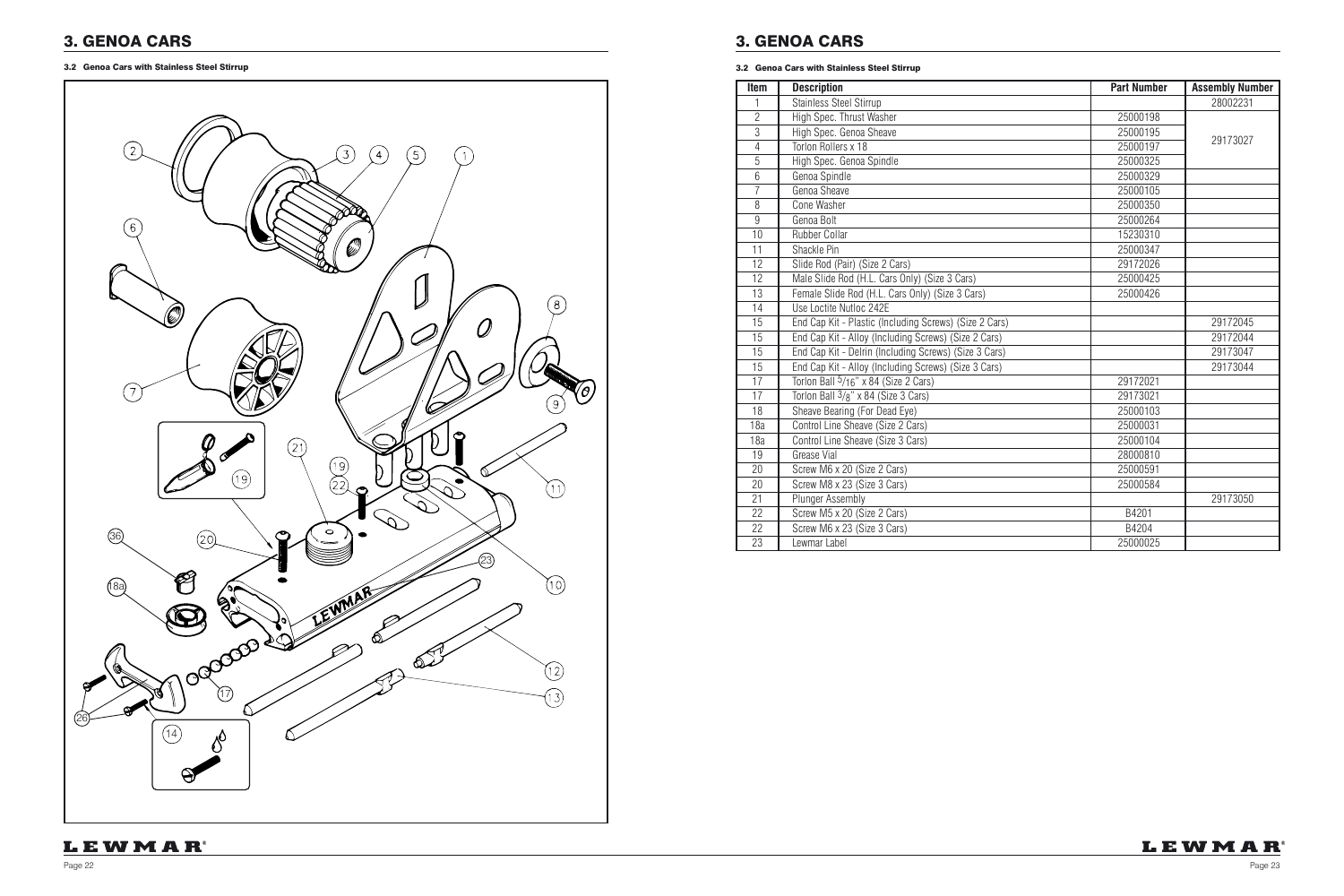## 3. GENOA CARS

3.2 Genoa Cars with Stainless Steel Stirrup

| Item           | <b>Description</b>                                     | <b>Part Number</b> | <b>Assembly Number</b> |
|----------------|--------------------------------------------------------|--------------------|------------------------|
| 1              | Stainless Steel Stirrup                                |                    | 28002231               |
| $\overline{2}$ | High Spec. Thrust Washer                               | 25000198           |                        |
| $\overline{3}$ | High Spec. Genoa Sheave                                | 25000195           |                        |
| $\overline{4}$ | Torlon Rollers x 18                                    | 25000197           | 29173027               |
| $\overline{5}$ | High Spec. Genoa Spindle                               | 25000325           |                        |
| $6\phantom{.}$ | Genoa Spindle                                          | 25000329           |                        |
| $\overline{7}$ | Genoa Sheave                                           | 25000105           |                        |
| 8              | Cone Washer                                            | 25000350           |                        |
| 9              | Genoa Bolt                                             | 25000264           |                        |
| 10             | <b>Rubber Collar</b>                                   | 15230310           |                        |
| 11             | Shackle Pin                                            | 25000347           |                        |
| 12             | Slide Rod (Pair) (Size 2 Cars)                         | 29172026           |                        |
| 12             | Male Slide Rod (H.L. Cars Only) (Size 3 Cars)          | 25000425           |                        |
| 13             | Female Slide Rod (H.L. Cars Only) (Size 3 Cars)        | 25000426           |                        |
| 14             | Use Loctite Nutloc 242E                                |                    |                        |
| 15             | End Cap Kit - Plastic (Including Screws) (Size 2 Cars) |                    | 29172045               |
| 15             | End Cap Kit - Alloy (Including Screws) (Size 2 Cars)   |                    | 29172044               |
| 15             | End Cap Kit - Delrin (Including Screws) (Size 3 Cars)  |                    | 29173047               |
| 15             | End Cap Kit - Alloy (Including Screws) (Size 3 Cars)   |                    | 29173044               |
| 17             | Torlon Ball 5/16" x 84 (Size 2 Cars)                   | 29172021           |                        |
| 17             | Torlon Ball 3/8" x 84 (Size 3 Cars)                    | 29173021           |                        |
| 18             | Sheave Bearing (For Dead Eye)                          | 25000103           |                        |
| 18a            | Control Line Sheave (Size 2 Cars)                      | 25000031           |                        |
| 18a            | Control Line Sheave (Size 3 Cars)                      | 25000104           |                        |
| 19             | <b>Grease Vial</b>                                     | 28000810           |                        |
| 20             | Screw M6 x 20 (Size 2 Cars)                            | 25000591           |                        |
| 20             | Screw M8 x 23 (Size 3 Cars)                            | 25000584           |                        |
| 21             | Plunger Assembly                                       |                    | 29173050               |
| 22             | Screw M5 x 20 (Size 2 Cars)                            | B4201              |                        |
| 22             | Screw M6 x 23 (Size 3 Cars)                            | B4204              |                        |
| 23             | Lewmar Label                                           | 25000025           |                        |



## 3. GENOA CARS

#### 3.2 Genoa Cars with Stainless Steel Stirrup

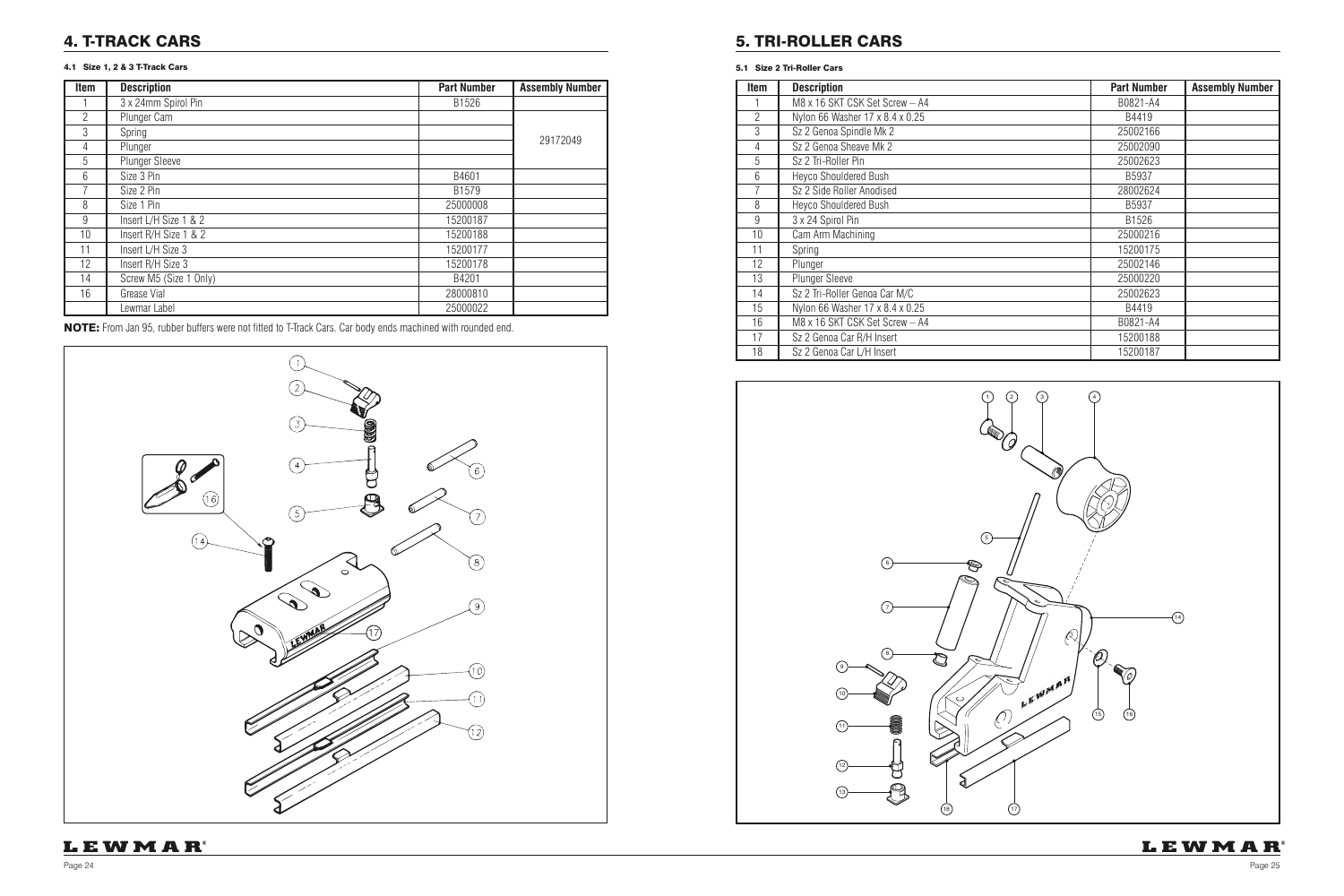| <b>Item</b> | <b>Description</b>              | <b>Part Number</b> | <b>Assembly Number</b> |
|-------------|---------------------------------|--------------------|------------------------|
|             | M8 x 16 SKT CSK Set Screw - A4  | B0821-A4           |                        |
| 2           | Nylon 66 Washer 17 x 8.4 x 0.25 | B4419              |                        |
| 3           | Sz 2 Genoa Spindle Mk 2         | 25002166           |                        |
| 4           | Sz 2 Genoa Sheave Mk 2          | 25002090           |                        |
| 5           | Sz 2 Tri-Roller Pin             | 25002623           |                        |
| 6           | Heyco Shouldered Bush           | B5937              |                        |
| 7           | Sz 2 Side Roller Anodised       | 28002624           |                        |
| 8           | <b>Heyco Shouldered Bush</b>    | B5937              |                        |
| 9           | 3 x 24 Spirol Pin               | B1526              |                        |
| 10          | Cam Arm Machining               | 25000216           |                        |
| 11          | Spring                          | 15200175           |                        |
| 12          | Plunger                         | 25002146           |                        |
| 13          | <b>Plunger Sleeve</b>           | 25000220           |                        |
| 14          | Sz 2 Tri-Roller Genoa Car M/C   | 25002623           |                        |
| 15          | Nylon 66 Washer 17 x 8.4 x 0.25 | B4419              |                        |
| 16          | M8 x 16 SKT CSK Set Screw - A4  | B0821-A4           |                        |
| 17          | Sz 2 Genoa Car R/H Insert       | 15200188           |                        |
| 18          | Sz 2 Genoa Car L/H Insert       | 15200187           |                        |

#### 5.1 Size 2 Tri-Roller Cars



### 4. T-TRACK CARS

### 4.1 Size 1, 2 & 3 T-Track Cars

| Item           | <b>Description</b>     | <b>Part Number</b> | <b>Assembly Number</b> |
|----------------|------------------------|--------------------|------------------------|
|                | 3 x 24mm Spirol Pin    | B1526              |                        |
| $\mathfrak{p}$ | Plunger Cam            |                    |                        |
| 3              | Spring                 |                    |                        |
| 4              | Plunger                |                    | 29172049               |
| 5              | <b>Plunger Sleeve</b>  |                    |                        |
| 6              | Size 3 Pin             | B4601              |                        |
|                | Size 2 Pin             | B1579              |                        |
| 8              | Size 1 Pin             | 25000008           |                        |
| 9              | Insert L/H Size 1 & 2  | 15200187           |                        |
| 10             | Insert R/H Size 1 & 2  | 15200188           |                        |
| 11             | Insert L/H Size 3      | 15200177           |                        |
| 12             | Insert R/H Size 3      | 15200178           |                        |
| 14             | Screw M5 (Size 1 Only) | B4201              |                        |
| 16             | Grease Vial            | 28000810           |                        |
|                | Lewmar Label           | 25000022           |                        |

NOTE: From Jan 95, rubber buffers were not fitted to T-Track Cars. Car body ends machined with rounded end.

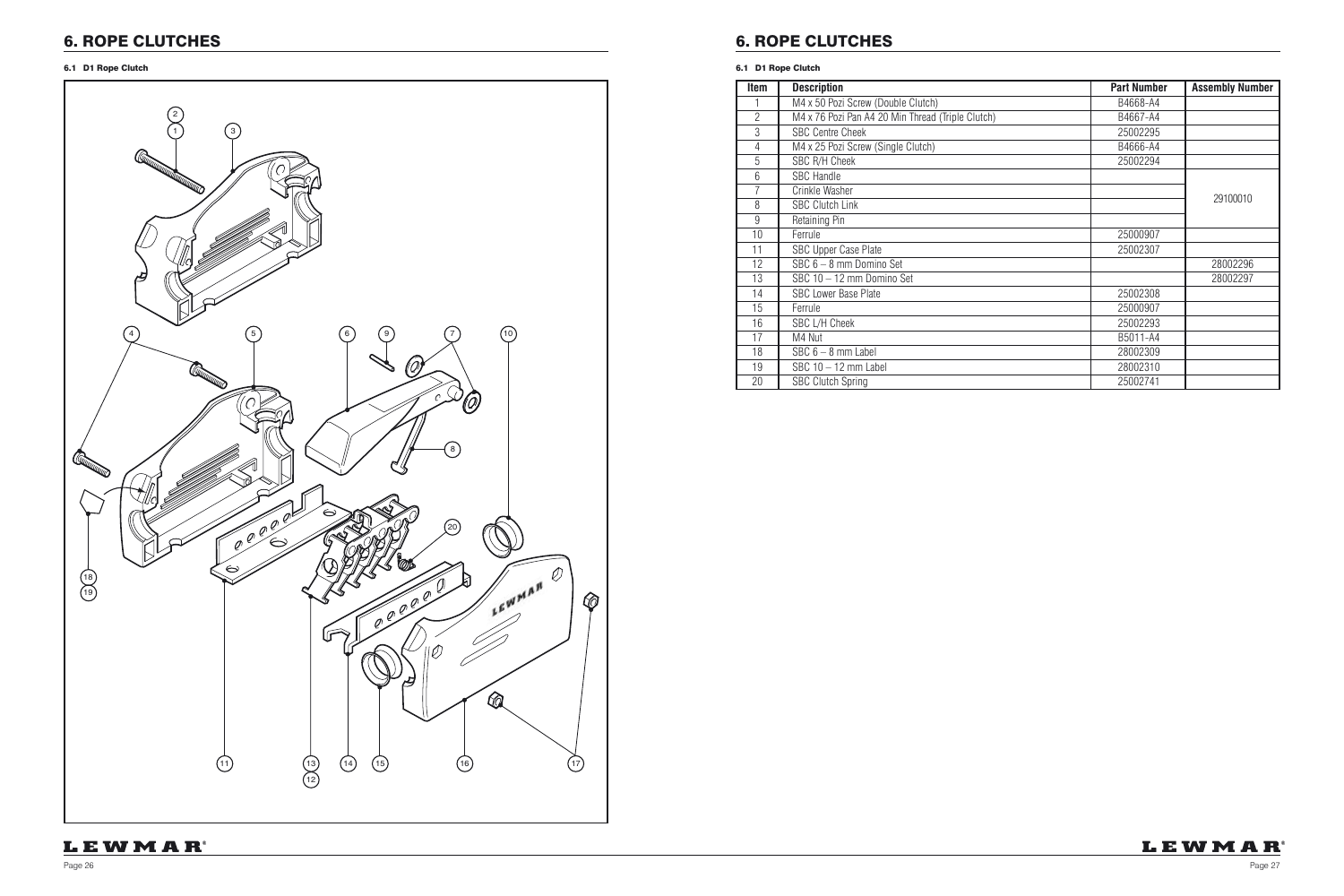

| Item           | <b>Description</b>                                | <b>Part Number</b> | <b>Assembly Number</b> |
|----------------|---------------------------------------------------|--------------------|------------------------|
|                | M4 x 50 Pozi Screw (Double Clutch)                | B4668-A4           |                        |
| $\overline{2}$ | M4 x 76 Pozi Pan A4 20 Min Thread (Triple Clutch) | B4667-A4           |                        |
| 3              | <b>SBC Centre Cheek</b>                           | 25002295           |                        |
| 4              | M4 x 25 Pozi Screw (Single Clutch)                | B4666-A4           |                        |
| 5              | SBC R/H Cheek                                     | 25002294           |                        |
| 6              | <b>SBC Handle</b>                                 |                    |                        |
| 7              | Crinkle Washer                                    |                    |                        |
| 8              | <b>SBC Clutch Link</b>                            |                    | 29100010               |
| 9              | Retaining Pin                                     |                    |                        |
| 10             | Ferrule                                           | 25000907           |                        |
| 11             | <b>SBC Upper Case Plate</b>                       | 25002307           |                        |
| 12             | SBC 6 - 8 mm Domino Set                           |                    | 28002296               |
| 13             | SBC 10 - 12 mm Domino Set                         |                    | 28002297               |
| 14             | <b>SBC Lower Base Plate</b>                       | 25002308           |                        |
| 15             | Ferrule                                           | 25000907           |                        |
| 16             | SBC L/H Cheek                                     | 25002293           |                        |
| 17             | M4 Nut                                            | B5011-A4           |                        |
| 18             | $SBC 6 - 8$ mm Label                              | 28002309           |                        |
| 19             | SBC $10 - 12$ mm Label                            | 28002310           |                        |
| 20             | <b>SBC Clutch Spring</b>                          | 25002741           |                        |

#### 6.1 D1 Rope Clutch

## 6. ROPE CLUTCHES

### 6.1 D1 Rope Clutch

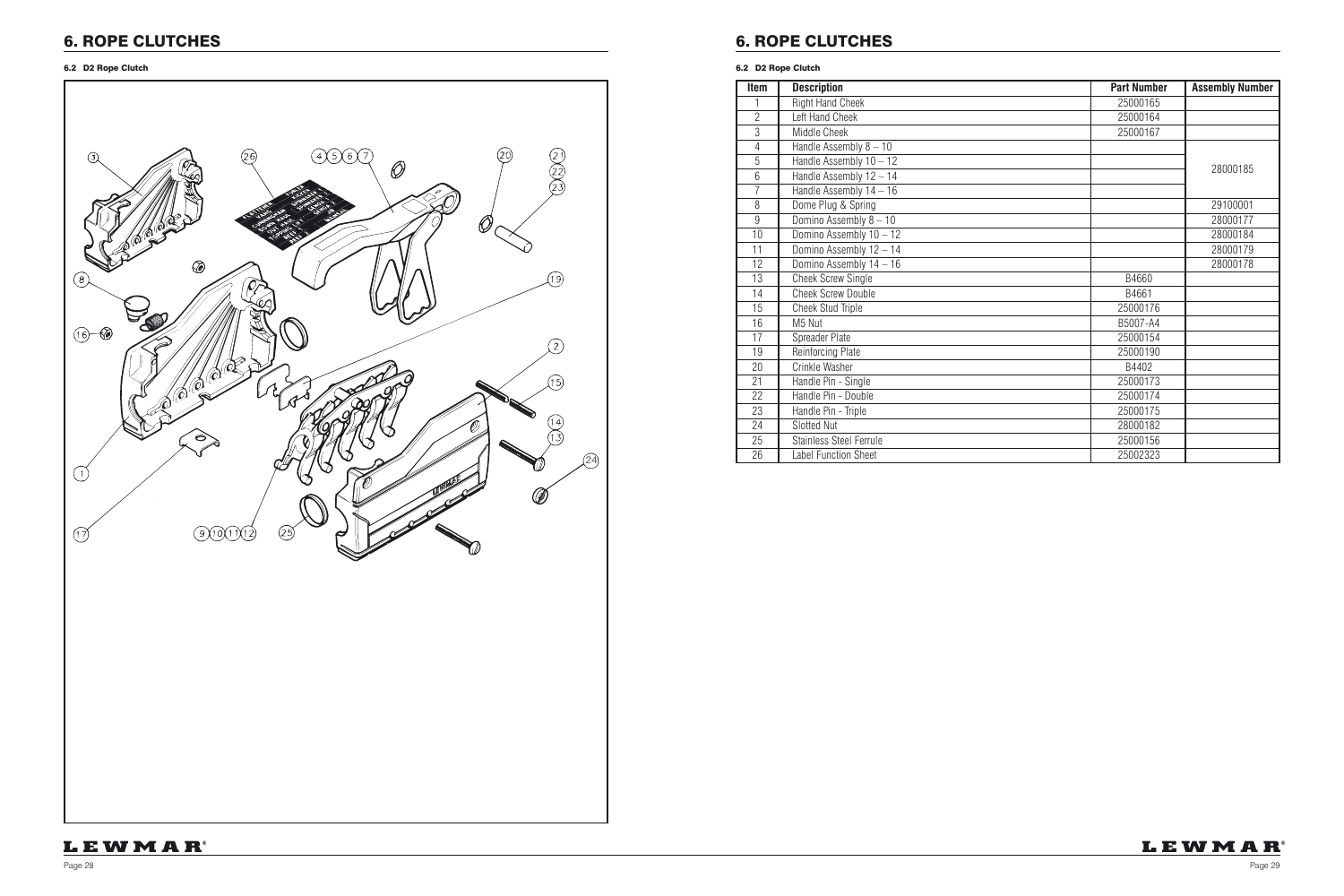Page 28 Page 29

## 6. ROPE CLUTCHES

| <b>Item</b>    | <b>Description</b>          | <b>Part Number</b> | <b>Assembly Number</b> |
|----------------|-----------------------------|--------------------|------------------------|
|                | <b>Right Hand Cheek</b>     | 25000165           |                        |
| $\overline{2}$ | Left Hand Cheek             | 25000164           |                        |
| $\mathfrak{Z}$ | Middle Cheek                | 25000167           |                        |
| $\overline{4}$ | Handle Assembly 8 - 10      |                    |                        |
| 5              | Handle Assembly 10 - 12     |                    | 28000185               |
| 6              | Handle Assembly 12 - 14     |                    |                        |
| $\overline{7}$ | Handle Assembly 14 - 16     |                    |                        |
| 8              | Dome Plug & Spring          |                    | 29100001               |
| $\overline{9}$ | Domino Assembly 8 - 10      |                    | 28000177               |
| 10             | Domino Assembly 10 - 12     |                    | 28000184               |
| 11             | Domino Assembly 12 - 14     |                    | 28000179               |
| 12             | Domino Assembly 14 - 16     |                    | 28000178               |
| 13             | <b>Cheek Screw Single</b>   | B4660              |                        |
| 14             | <b>Cheek Screw Double</b>   | B4661              |                        |
| 15             | Cheek Stud Triple           | 25000176           |                        |
| 16             | M5 Nut                      | B5007-A4           |                        |
| 17             | Spreader Plate              | 25000154           |                        |
| 19             | Reinforcing Plate           | 25000190           |                        |
| 20             | Crinkle Washer              | B4402              |                        |
| 21             | Handle Pin - Single         | 25000173           |                        |
| 22             | Handle Pin - Double         | 25000174           |                        |
| 23             | Handle Pin - Triple         | 25000175           |                        |
| 24             | Slotted Nut                 | 28000182           |                        |
| 25             | Stainless Steel Ferrule     | 25000156           |                        |
| 26             | <b>Label Function Sheet</b> | 25002323           |                        |

## LEWMAR®



#### 6.2 D2 Rope Clutch

## 6. ROPE CLUTCHES

#### 6.2 D2 Rope Clutch

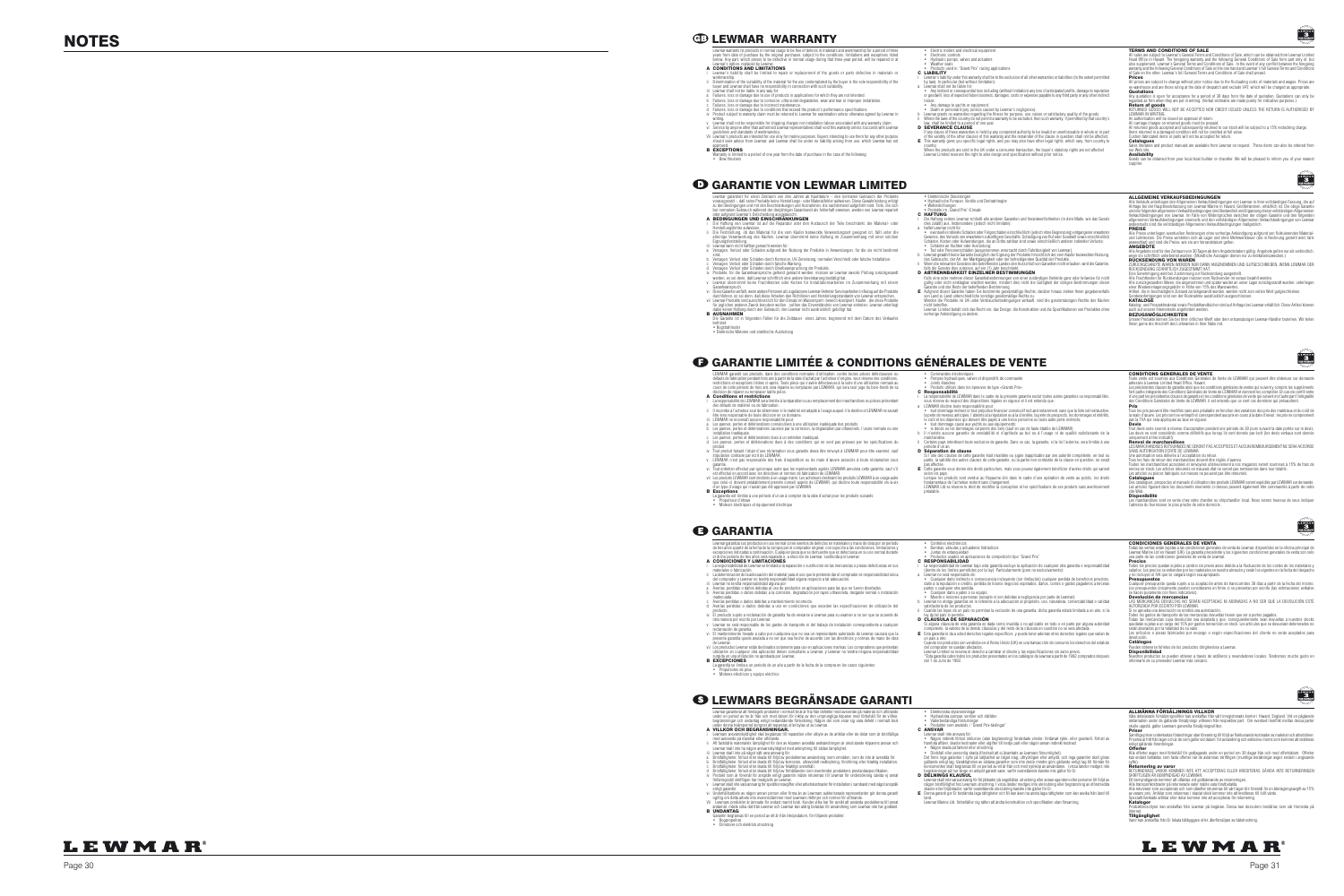### **NOTES EWMAR WARRANTY**

- Lewmar garantiert für einen Zeitraum von drei Jahren ab Kaufdatum den normalen Gebrauch der Produkte vorausgesetzt -, daß seine Produkte keine Herstellungs- oder Materialfehler aufweisen. Diese Gewährleistung erfolgt zu den Bedingungen und mit den Beschränkungen und Ausnahmen, die nachstehend aufgeführt sind. Teile, die sich
	-
- bei normalem Gebrauch während der dreijänrigen Garantiezeit als fehlerhaft erweisen, werden von Lewmar repariert<br>O der aufgrund Lewmar's Entscheidung ausgetauscht.<br>Die Haftung von Lewmar ist auf die Reparatur oder den Aust - Herstellungsfehler aufweisen.<br>ii- Die Feststellung, ob das Material für die vom Käufer bezweckte Verwendungsart geeignet ist, fällt unter die<br>- alleinige Verantwortung des Käufers. Lewmar übernimmt keine Haftung im Zusam
- Eignungsfeststellung.<br>iii Lewmar kann nicht haftbar gemacht werden für:<br>sind.<br>sind.
- sind.<br>Versagen, Verlust oder Schäden durch Korrosion, UV-Zersetzung, normalen Verschleiß oder falsche Installation.<br>Versagen. Verlust oder Schäden durch falsche Wartung.
- 
- c Versagen, Verlust oder Schäden durch falsche Wartung.<br>iv Produkte, für die Schäden durch Überbeanspruchung der Produkte.<br>iv Produkte, für die Garantieansprüche geltend gemacht werden, müssen an Lewmar zwecks Prüfung zurü
- v Lewmar übenimmt keine Frachtkosten oder Kosten für Installationsarbeiten im Zusammenhang mit einem Gerännieweiläll, wenn andere Prasonen als zugelassene Lewmark of Beredical Constantinoperation of the distribution of the
- 
- 
- Die Garantie ist in folgenden Fällen für die Zeitdauer eines Jahres, beginnend mit dem Datum des Verkaufes
- befristet: Bugstrahlruder Elektrische Motoren und elektrische Ausrüstung

### GARANTIE LIMITÉE & CONDITIONS GÉNÉRALES DE VENTE

a hattet Lawmar nicht für Schäden oder Folgeschäden einschließlich (jedoch ohne Begrenzung) entgangener erwarteter<br>Gewinne, des Verlusts von erwartetern zukünfigem Geschäfte, Schädigung von Ruft oder Goodwill sowie einschl b Lewmar gewährt keine Garantie bezüglich der Eignung der Produkte hinsichtlich der vom Käufer bezweckten Nutzung, des Gebrauchs, der Art, der Marktgängigkeit oder der befriedigenden Qualität der Produkte. ii Wenn die relevanten Gesetzes des betreffenden Landes den Ausschluß von Garantien nicht erlauben, wird die Garantie,<br>D. ABTRENNBARKEIT EINZELNER, BESTIMMUNGEN<br>Falls eine oder mehrere dieser Garantiebestimmungen von einer gültig oder nicht einklagbar erachtet werden, mindert dies nicht die Gültigkeit der übrigen Bestimmungen dieser<br>Garantie und des Rests der betreffenden Bestimmung.<br>E Aufgrund dieser Garantie haben Sie bestimmte gesetzmäßig von Land zu Land unterschiedliche sonstige gesetzmäßige Rechte zu. Werden die Produkte im UK unter Verbraucherbedingungen verkauft, sind die gesetzmässigen Rechte des Käufers nicht betroffen. Lewmar Limited behält sich das Recht vor, das Design, die Konstruktion und die Spezifikationen von Produkten ohne vorherige Ankündigung zu ändern.

- Joints étantes<br>
- Produits utilisés dans les épreuves de type «Grands Prix»<br>
La responsabilité de Technique de la présente garantie exclut toutes autres garanties ou responsabilités,<br>
- La responsabilité de Cet des dispo

la perte de revenus anticipée, l'atteinte à la réputation ou à la clientêle, la perte de prospects, les dommages et intérêts,<br>le coût et les dépenses qui doivent être payés à une tierce personne ou toute autre perte indire

• tout dommage causé aux yachts ou aux équipements;<br>• le décès ou les dommages corporels des tiers (sauf en cas de faute établie de LEWMAR).<br>b in réxiste aucune garantie de vendabilité ni d'aptitude au but ou à l'usage ni iterdisent toute exclusion de garantie. Dans ce cas, la garantie, si la loi l'autorise, sera limitée à une

• Elektronische Steuerungen • Hydraulische Pumpen, Ventile und Drehzahlregler

période d'un an.<br>**D. Séparation de clause**<br>Si l'une des clauses de cette garantie était invalidée ou jugée inapplicable par une autorité compétente, en tout ou<br>pas affectie.<br>pas affecties.<br>pas affecties. E Cette garantie vous donne des droits particuliers, mais vous pouvez également bénéficier d'autres droits qui varient selon les pays. Lorsque les produits sont vendus au Royaume-Uni dans le cadre d'une opération de vente au public, les droits fondamentaux de l'acheteur restent sans changement. LEWMAR Ltd se réserve le droit de modifier la conception et les spécifications de ses produits sans avertissement préalable.



CONDITIONS GENERALES DE VENTE<br>Toute vente est soumise aux Conditions Générales de Vente de LEWMAR qui peuvent être obtenues sur demande<br>adressée à Lewmar Limited Head Office, Havant. adressée à Lewnar Limitel Head Office, Hawant.<br>Les précédentes clauses de garantie ainsi que les conditions générales de ventes qui suivent y compris les suppléments<br>fort partie intégrante des Conditions Générales de Vente

.<br>Trix peuvent être modifiés sans avis préalable en fonction des variations des prix des matériaux et du coût de la main d'œuvre. Les prix sont ex-entrepôt et correspondent aux prix en cours à la date d'envoi; les prix ne comprennent pas la TVA qui sera appliquée au taux en vigueur.

 Devis Tout devis reste soumis à réserve d'acceptation pendant une période de 30 jours suivant la date portée sur le devis.<br>Les devis ne sont considérés comme définitifs que lorsqu'ils sont donnés par écrit (les devis verbaux son

uniquement à titre indicatif).<br>**Renvoi de marchandis**es<br>LES MARCHANDISES RETOURNEES NE SERONT PAS ACCEPTEES ET AUCUN REMBOURSEMENT NE SERA ACCORDE

SANS AUTORISATION ECRITE DE LENMAR.<br>Tous les fiais de retour des marchandises doivent éture.<br>Tous les fiais de retour des marchandises doivent éture réglés d'avance.<br>Toules les marchandises acceptées et renvoyées ultérieur

**Catalogues**<br>Des catalogues, prospectus et manuels d'utilisation des produits LEWMAR seront expédiés par LEWMAR sur demande.<br>Les articles figurant dans les documents énumérés ci-dessus peuvent également être commandés à pa

**Disponibilité**<br>Les marchandises sont en vente chez votre chantier ou shipchandler local. Nous serons heureux de vous indiquer<br>l'adresse du fournisseur le plus proche de votre domicile.



ley de la Joak lo permite.<br>**D. C.L.AUSULA DE SEPARACIÓN**<br>Si alguna cláusula de esta garantía es dada como invalida o no aplicable en todo o en parte por alguna autoridad<br>competente, la validez de la dernás cláusulas y del

Todas las ventas están sujetas a las condiciones generales de venta de Lewmar, disponibles en la oficina principal de<br>Lewmar Marine Ltd en Havant (UK). La garantía precedente y las siguientes condiciones generales de venta

**Preclos**<br>Todos los precios quedan sujetos a cambio sin previo aviso debido a la fluctuación de los costes de los materiales y<br>salarlos. Los precios se entienden por los materiales en nuestro almacén y serán los vigentes e

**Presupuestos**<br>Cualquier presupuesto queda sujeto a su aceptación antes de transcurridos 30 días a partir de la fecha del mismo.<br>Los presupuestos únicamente pueden considerarse en firme si se presentan por escrito (las est

se hacen puramente con fines indicativos).<br>**Devolución de mercancías**<br>LAS MERCANCÍAS DEVUELTAS NO SERÁN ACEPTADAS NI ABONADAS A NO SER QUE LA DEVOLUCIÓN ESTÉ<br>AUTORIZADA POR ESCRITO POR LEWMAR.

Si se aprueba una devolución se emitiá una autorización.<br>Todos los gastos de transporte de las mercancias devuellas tienen que ser a portes pagados.<br>Todas las mercancias cuya devolución sea aceptada y que, consiguientement

Ihnen gerne die Anschrift des Lieferanten in Ihrer Nähe mit.

- Lewmar garantiza sus productos en uso normal como exentos de defectos en materiales y mano de obra por un período<br>de tres años a partir de la fecha de la compra por el comprador original, con sujeción a las condiciones, lí A CONDICIONES Y LIMITACIONES
- i La responsabilidad de Lewmar se límitará a la repracción o sustitución de las mercancias o piezas defectuosas en sus<br>En tradectionicación de la salecucación del material para el uso que le pretende dar el comprador os r
	-
- inadecuada. c Averías perdidas o daños debidas a mantenimiento incorrecto. d Averías perdidas o daños debidas a uso en condiciones que exceden las especificaciones de utilización del
- 
- producto.<br>The products sujeto a reclamación de garantía ha de enviarse a Lewmar para su examen a no ser que se acuerde de<br>The products supplicable de los gastos de transporte ni del trabajo de instalación correspondiente a
- 
- de Lewmar.<br>vii Los productos Lewmar están destinados solamente para uso en aplicaciones marinas. Los compradores que pretendan<br>utilitzarlos en cualquier otra aplicación deben consultarlo a Lewmar, y Lewmar no tendrá ningun
- .<br>A un periodo de un año a partir de la fecha de la compra en los casos siguientes
- Propulsores de proa Motores eléctricos y equipo eléctrico

### **6 LEWMARS BEGRÄNSADE GARANTI**

- 
- 
- 
- Juntas de estanqueidad Productos usados en aplicaciones de competición tipo "Grand Prix" C RESPONSABILIDAD i aresponsabilidad de Lewran bajo esta granatía seculo els aplicación de cualquier orios granatía o responsabilidad (elemento ser la ley). Particularmente (pero no exclusivamente):<br>
a lewran no será responsable de:<br>
a len COMPOSITION CONDICIONES GENERALES DE VENTA CONDICIONES GENERALES DE VENTA CONDICIONES SERERALES DE VENTA CONDICIONES SERERALES DE VENTA
	-
- LEWMAR garantit ses produits, dans des conditions normales d'utilisation, contre toutes pièces défectueuses ou défauts de fabrication pendant trois ans à partir de la date d'achat par l'acheteur d'origine, sous réserve des conditions,<br>restrictions et exceptions listées ci-après. Toute pièce qui s'avère défectueuse à la suite d'une
- décision de réparer ou remplacer ladite pièce. A Conditions et restrictions
- 
- | Laresponsibilité de LEMMAR ser limitée à la réparation ou au remplacement des marchandises ou pièces présentant<br>| directed|| de la record de la record de derivative de la record de la record de la récord de la record de
- 
- 
- installation inadéquate. c Les pannes, pertes et détériorations dues à un entretien inadéquat. d Les pannes, pertes et détériorations dues à des conditions qui ne sont pas prévues par les spécifications du produit.
- produit.<br>Tout produit faisant l'objet d'une réclamation sous garantie devra être renvoyé à LEWMAR pour être examiné, sauf stipulation contraire par écrit de LEWMAR.<br>LEWMAR n'est pas responsable des frais d'expédition ou de main d'œuvre associés à toute réclamation sous<br>garantie.
- 
- v LEWIMAR n'est pas responsable des frais d'expédition ou de main d'œuvre associés à toute réclamation sous<br>vi Tout entretien effectué par quiconque autre que les représentants agrées.<br>LEWIMAR amulera cette garantie, sauf
- 
- La garantie est limitée à une période d'un an à compter de la date d'achat pour les produits suivants: Propulseur d'étrave Moteurs électriques et équipement électrique

- E Esta garantía le da a usted derechos legales específicos, y puede tener además otros derechos legales que varían de un país a otro.
- 
- Cuando los productos son vendidos en el Reino Unido (UK) en una transacción de consumo los derechos del estatulo<br>del comprador no quedan atectados.<br>L'exta granita ciute elodos los productos presentados en los especificacio
- - Någon indirekt förukst inklusive (vlan begränsning) förvändade vinslet, fördänar hyde, eller goodwill, förlust av<br>framtida affärer, skador kostnader eller utgiftet till tredje part eller någon annan indirekt kostnad<br>• Nå
	- konsumenten skall begränsas till en period av ett år från och med nyinköp av användaren. I vissa länder medges inte<br>begrånsningar på hur länge en antydd garanti varar, varlör ovanstående kanske inte gäller för Er.<br>**D DELN**
	- -
- -
	-
	- - Lewmar skall inte vara ansvarig för följdskader på segelbåtar, utrustining eller annan egendom eller personer till följd av<br>1991 stader eller följdskador, varför ovanskående uteslutning kanske inte utalstuning eller begr
- 
- 
- .<br>Is till en period av ett år från inköpsdatum, för följande produkter:
- 



#### **ERMS AND CONDITIONS OF SALE**

#### • Commandes électroniques • Pompes hydrauliques, valves et dispositifs de commande

• Welterdichungen<br>C HAFTUNG<br>| Die Hathung seitens Lewnar schließt alle anderen Garantien und Verantwortlichkeiten (in dem Maße, wie das Gesetz<br>| Die Hathung seitens Lewnar schließt alle anderen Garantien und Verantwortlich

C LIABILITY<br>i Lewmar's liability under this warranty shall be to the exclusion of all other warranties or liabilities (to the extent permitted<br>by law). In particular (but without limitation):

→ Any indirect or consequential loss including (without limitation) any loss of anticipated profits, damage to reputation<br>or goodwill, loss of expected future business, damages, costs or expenses payable to any third part

Pueden obtenerse folletos de los productos dirigiéndose a Lewmar.<br>**Disponibilidad**<br>Nuestros productos se pueden obtener a través de astilleros y revendedores locales. Tendremos mucho gusto en informarle de su proveedor Lewmar más cercano.



Våra detaljerade försäljningsvillkor kan anskaffas från vårt inregistrerade kontor i Havant, England. Vid en pågående<br>reklamation under de gällande försäljnings villkoren från respektive part. Om eventuell konflikt mellan reklamation under de gällande försäljnings villkoren från respek<br>skulle uppstå, gäller Lewmars generella försäljningsvillkor.<br>**Priser** 

**Priser**<br>Samlliga priser underkastas förändringar utan förvarning till följd av fluktuerande kostnader av material och arbetslöner.<br>Priserna år fritt från lager och är de som gäller vid datum. för avsändning och exklusive

**Offerter**<br>Alla offerter avges med förbehåll för godtagande under en period om 30 dagar från och med offertdatum. Offerter<br>kan endast betraktas som fasta offerter när de avlämnas skriftligen (muntliga beräkningar avges end

syfte).<br>**Returnering av varor**<br>RETURNERADE VAROR KOMMER INTE ATT ACCEPTERAS ELLER KREDITERAS SÅVIDA INTE RETURNERINGEN

SKRIFTLIGEN AR BEMYNDIGAD AV LEWMAR.<br>Ett bemyndigande kommer att utfärdas vid godkännande av returneringen<br>Alla transportkostnader på returnerade varor måste vara förutbetalda.

Alla returvaror som accépterats och som därefter returernas till vårt lager blir föremål för en återlagringsavgift av 15%<br>av varans pris. Artiklar som returemas i skadat skick kommer inte att krediteras till fullt värde.<br>S

**Kataloger**<br>Produktbroschyrer kan anskaffas från Lewmar på begäran. Dessa kan dessutom beställas över vår Hemsida på<br>Internet.

**Tillgänglighet**<br>Varor kan anskaffas från Er lokala båtbyggare eller, återförsäljare av båtutrustning.



- Lewmar garanterar att företagets produkter i normalt bruk är fria från defekter med avseende på material och utförande<br>under en period av tre år från och med datum för inköp av den ursprungliga köparen med förbehåll för de under denna treårsperiod kommer att repareras eller bytas ut av Lewmar. A VILLKOR OCH BEGRÄNSNINGAR.
- i Lewmars ansvarsskyldighet skal begänsas till reparation eller utbyte av de artiklar eller de delar som är bristfälliga<br>ii Att fastställa materialets ligninghet för den av köparen avsedda andvändningen är uteslutande köpa
- 
- iii Lewmar skall inte på något sätt vara ansvarig för.<br>19. Briställigheter, förlust eller skada till följd av konoskon, ultraviolet nedboytning, förstillning eller felaktig installation.<br>19. Briställigheter, förlust eller
- 
- förfaringssätt skriftligen har medgivits av Lewmar. v Lewmar skall inte vara ansvarig för speditionsavgifter eller arbetskostnader för installation i samband med något anspråk enligt garantin.
- vi Undehållsanbele av nåpon annan person eller firma än av Lewmars aukloriserade representanter gör denna garanti<br>Unglitig om delta arbete mile överensstämmer med Lewmars riktlinjer och normer för utförande.<br>Vit Lewmars pr
- 
- Bogpropellrar Elmotorer och elektrisk utrustning
- Elektroniska styranordningar<br>• Hydrauliska pumpar, ventiler och ställdon<br>• Väderbeständiga förslutningar<br>• Produkter som används i "Grand Prix-tävlingar"<br>**C ANSVAR**<br>Ewmar skall inte ansvara för:
- 
- 
- land. Lewmar Marine Ltd. förbehåller sig rätten att ändra konstruktion och specifikation utan förvarning.

### **LEWMAR**

#### Lewmar warrants its products in normal usage to be free of defects in materials and workmanship for a period of three<br>years from date of purchase by the original purchaser, subject to the conditions, limitations and except below. Any part, which proves to be defective in normal usage during that three-year period, will be repaired or at Lewmar's option, replaced by Lewmar.

• Electric motors and electrical equipmen<br>• Electronic controls • Electronic controls • Hydraulic pumps, valves and actuators • Weather seals • Products used in "Grand Prix" racing applications

ar shall not be liable for:

b Lewmar grants no warranties regarding the fitness for purpose, use, nature or satisfactory quality of the goods.<br>ii Where the laws of the country do not permit a warranty to be excluded, then such warranty, if permitted Description the community of the state of the state of the state of the state of the state of the state of the state of the state of the state of the state of the value of the value of the value of the value of the value o Where the products are sold in the UK under a consumer transaction, the buyer's statutory rights are not affected Lewmar Limited reserves the right to alter design and specification without prior notice.

All sales are subject to Lewmar's General Terms and Conditions of Sale, which can be obtained from Lewmar Limited<br>Head Office in Havant. The foregoing warranly and the following General Conditions of Sale form part only of warranty and the following General Conditions of Sale on the one hand and Lewmar's full General Terms and Conditions of Sale on the other, Lewmar's full General Terms and Conditions of Sale shall prevail.

 Prices All prices are subject to change without prior notice due to the fluctuating costs of materials and wages. Prices are<br>ex-warehouse and are those ruling at the date of despatch and exclude VAT, which will be charged as appr

**Quotations**<br>Any quotation is open for acceptance for a period of 30 days from the date of quotation. Quotations can only be<br>regarded as firm when they are put in writing. (Verbal estimates are made purely for indicative p **Return of goods**<br>RETURNED GOODS WILL NOT BE ACCEPTED NOR CREDIT ISSUED UNLESS THE RETURN IS AUTHORISED BY<br>LEWMAR IN WRITING.<br>Ali carriage charges on relumed goods must be prepaid.<br>Ali carriage charges on relumed goods mus

All returned goods accepted and subsequently returned to our stock will be subject to a 15% restocking charge.<br>Iltens returned in a damaged condition will not be credited at full value.<br>Catalorgues<br>Sales literature and pro

our Web site.<br>**Availability**<br>Goods can be obtained from your local boat builder or chandler. We will be pleased to inform you of your nearest<br>supplier.



Alle Verklade unterliegen den Allgemeinen Verkautebedingungen von Lewmar in hirev onlistindigen Fassung, die au<br>Antrage bei der Hauptniederlassung von Lewmar Marine in Havant, Großtritamien, erhältlich ist. Die obige Garan

PREISE<br>Alle Preise unterliegen eventuellen Änderungen ohne vorherige Ankündigung aufgrund von fluktuierenden Material<br>und Lohnkosten. Die Preise verstehen sich ab Lager und ohne Mehrwertsteuer (die in Rechnung gestellt wir

ANGEBOTE<br>Alle Angebote sind für den Zeitraum von 30 Tagen ab dem Angebotsdatum gültig. Angebote gelten nur als verbindlich,<br>wepn sie schriftlich unterbreitet wurden. (Mündliche Aussagen dienen nur zu Indikationszwecken.)

**RUCKSENDUNG VON WAREN IN** DANN ANGENOMMEN UND GUTGESCHRIEBEN, WENN LEWMAR DER ZURIEREN WERDEN EIN AN ANGENOMMEN<br>ZURUCKSENNUTE WAREN WERDEN IN A DANN ANGENOMMEN UND GUTGESCHRIEBEN, WENN LEWMAR DER GERbeiningung werd bil Zu

Katalog- und Prospektmaterial sowie Produkthandbücher sind auf Antrage bei Lewmar erhältlich. Diese Artikel können<br>auch auf unserer Internetseile angefordert werden.<br>Unsere Produkte können Sie bei Ihrer örtlichen Werft ode

- Controles electrónicos Bombas, válvulas y actuadores hidráulicos
	-
	-
- 
- -
	- -
	-
	-
- 
- 
- 

 Los artículos o piezas fabricados por encargo o según especificaciones del cliente no serán aceptados para devolución. Catálogos

- A CONDITIONS AND LIMITATIONS i Lewmar's liability shall be limited to repair or replacement of the goods or parts defective in materials or
- workmanship.
- 
- 
- 
- ii Determination of the suitability of the material for the use contemplated by the buyer is the sole responsibility of the single interval and the material interval of the single state of the single state of the single st
- 
- Vii Lewmar's products are intended for use only for marine purposes. Buyers intending to use them for any other purpose<br>should seek advice from Lewmar, and Lewmar shall be under no liability arising from use, which Lewmar approved.<br>B **EXCEPTIONS** io a period of one vear from the date of purchase in the case of the following:
- Bow thrusters

## **GARANTIE VON LEWMAR LIMITED**<br>Entra gegründ und der Jehren von der Jahren ab Fordation – den normalen Gebrauch der Produkte St. Ebitronische Stuurungen.

losses. • Any damage to yachts or equipment. • Death or personal Injury (unless caused by Lewmar's negligence).